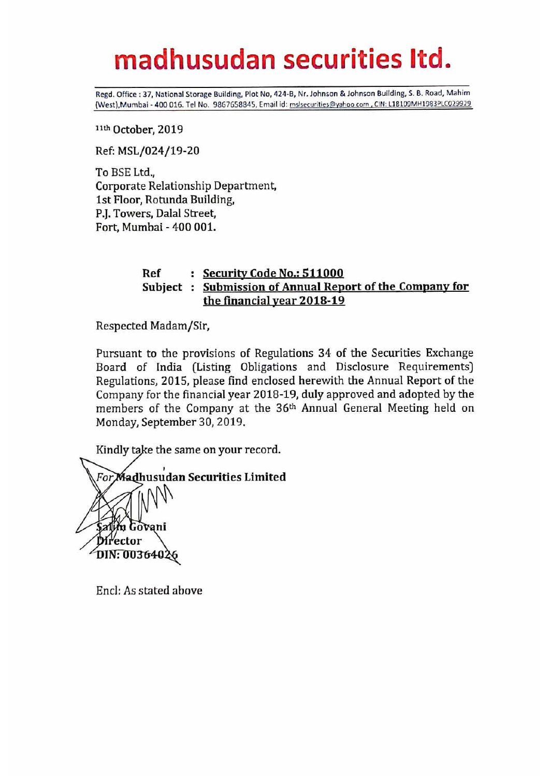# madhusudan securities Itd.

Regd. Office: 37. National Storage Building, Plot No, 424-B, Nr. Johnson & Johnson Building, S. B. Road, Mahim (West), Mumbai - 400 016. Tel No. 9867658845, Email id: mslsecurities@yahoo.com, CIN: L18109MH1983PLC029929

11th October, 2019

Ref: MSL/024/19-20

To BSE Ltd., Corporate Relationship Department, 1st Floor, Rotunda Building, P.J. Towers, Dalal Street, Fort, Mumbai - 400 001.

#### : Security Code No.: 511000 Ref Subject: Submission of Annual Report of the Company for the financial year 2018-19

Respected Madam/Sir,

Pursuant to the provisions of Regulations 34 of the Securities Exchange Board of India (Listing Obligations and Disclosure Requirements) Regulations, 2015, please find enclosed herewith the Annual Report of the Company for the financial year 2018-19, duly approved and adopted by the members of the Company at the 36<sup>th</sup> Annual General Meeting held on Monday, September 30, 2019.

Kindly take the same on your record.

For Madhusudan Securities Limited vani DIN: 003640

Encl: As stated above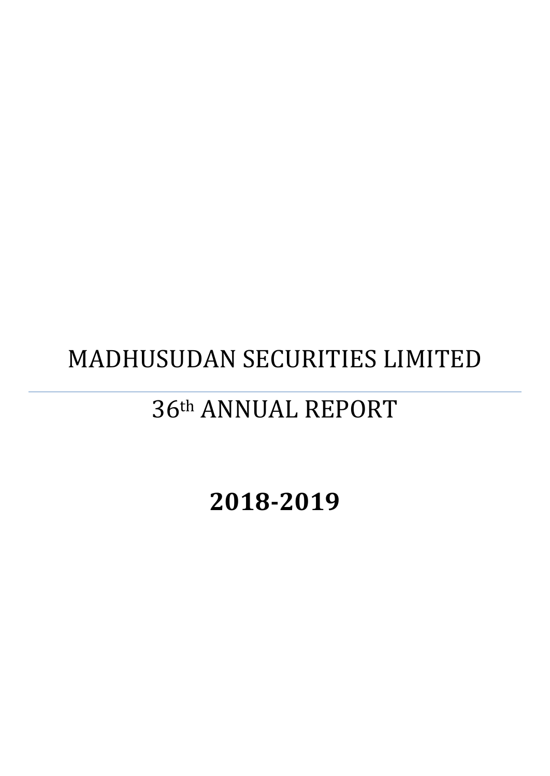## MADHUSUDAN SECURITIES LIMITED

## 36th ANNUAL REPORT

**2018-2019**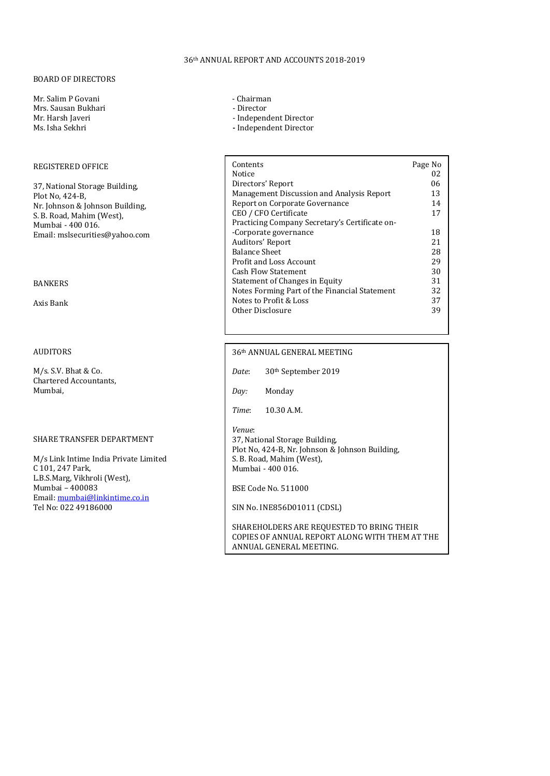#### 36th ANNUAL REPORT AND ACCOUNTS 2018-2019

## BOARD OF DIRECTORS

Mr. Salim P Govani - Chairman - Chairman - Chairman - Chairman - Chairman - Chairman - Chairman - Chairman - Chairman - Chairman - Chairman - Chairman - Chairman - Chairman - Chairman - Chairman - Chairman - Chairman - Cha Mrs. Sausan Bukhari<br>Mr. Harsh Javeri Mr. Harsh Javeri - Independent Director

## REGISTERED OFFICE

37, National Storage Building, Plot No, 424-B, Nr. Johnson & Johnson Building, S. B. Road, Mahim (West), Mumbai - 400 016. Email[: mslsecurities@yahoo.com](mailto:mslsecurities@yahoo.com) 

#### BANKERS

Axis Bank

#### AUDITORS

M/s. S.V. Bhat & Co. Chartered Accountants, Mumbai,

#### SHARE TRANSFER DEPARTMENT

M/s Link Intime India Private Limited C 101, 247 Park, L.B.S.Marg, Vikhroli (West), Mumbai – 400083 Email[: mumbai@linkintime.co.in](mailto:mumbai@linkintime.co.in)  Tel No: 022 49186000

- 
- 
- 
- Independent Director

| Contents                                       | Page No |
|------------------------------------------------|---------|
|                                                |         |
| Notice                                         | 02      |
| Directors' Report                              | 06      |
| Management Discussion and Analysis Report      | 13      |
| Report on Corporate Governance                 | 14      |
| CEO / CFO Certificate                          | 17      |
| Practicing Company Secretary's Certificate on- |         |
| -Corporate governance                          | 18      |
| Auditors' Report                               | 21      |
| <b>Balance Sheet</b>                           | 28      |
| <b>Profit and Loss Account</b>                 | 29      |
| Cash Flow Statement                            | 30      |
| <b>Statement of Changes in Equity</b>          | 31      |
| Notes Forming Part of the Financial Statement  | 32      |
| Notes to Profit & Loss                         | 37      |
| Other Disclosure                               | 39      |
|                                                |         |

<u>21 - Animal Alexandria de Animal de Animal de Animal de Animal de Animal de Animal de Animal de Animal de Ani</u>

## 36th ANNUAL GENERAL MEETING

*Date*: 30th September 2019

*Day:* Monday

*Time*: 10.30 A.M.

*Venue*:

37, National Storage Building, Plot No, 424-B, Nr. Johnson & Johnson Building, S. B. Road, Mahim (West), Mumbai - 400 016.

BSE Code No. 511000

SIN No. INE856D01011 (CDSL)

SHAREHOLDERS ARE REQUESTED TO BRING THEIR COPIES OF ANNUAL REPORT ALONG WITH THEM AT THE ANNUAL GENERAL MEETING.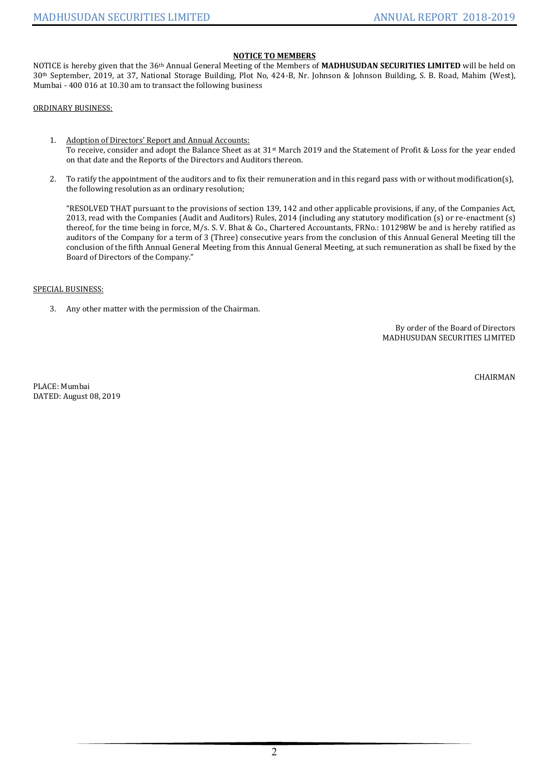## **NOTICE TO MEMBERS**

NOTICE is hereby given that the 36th Annual General Meeting of the Members of **MADHUSUDAN SECURITIES LIMITED** will be held on 30th September, 2019, at 37, National Storage Building, Plot No, 424-B, Nr. Johnson & Johnson Building, S. B. Road, Mahim (West), Mumbai - 400 016 at 10.30 am to transact the following business

#### ORDINARY BUSINESS:

٦

- 1. Adoption of Directors' Report and Annual Accounts: To receive, consider and adopt the Balance Sheet as at 31st March 2019 and the Statement of Profit & Loss for the year ended on that date and the Reports of the Directors and Auditors thereon.
- 2. To ratify the appointment of the auditors and to fix their remuneration and in this regard pass with or without modification(s), the following resolution as an ordinary resolution;

"RESOLVED THAT pursuant to the provisions of section 139, 142 and other applicable provisions, if any, of the Companies Act, 2013, read with the Companies (Audit and Auditors) Rules, 2014 (including any statutory modification (s) or re-enactment (s) thereof, for the time being in force, M/s. S. V. Bhat & Co., Chartered Accountants, FRNo.: 101298W be and is hereby ratified as auditors of the Company for a term of 3 (Three) consecutive years from the conclusion of this Annual General Meeting till the conclusion of the fifth Annual General Meeting from this Annual General Meeting, at such remuneration as shall be fixed by the Board of Directors of the Company."

SPECIAL BUSINESS:

3. Any other matter with the permission of the Chairman.

 By order of the Board of Directors MADHUSUDAN SECURITIES LIMITED

PLACE: Mumbai DATED: August 08, 2019 CHAIRMAN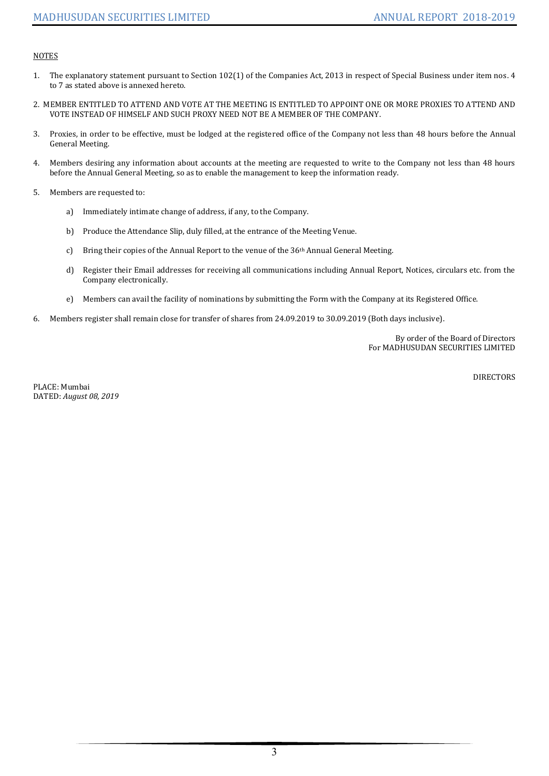## **NOTES**

٦

- 1. The explanatory statement pursuant to Section 102(1) of the Companies Act, 2013 in respect of Special Business under item nos. 4 to 7 as stated above is annexed hereto.
- 2. MEMBER ENTITLED TO ATTEND AND VOTE AT THE MEETING IS ENTITLED TO APPOINT ONE OR MORE PROXIES TO ATTEND AND VOTE INSTEAD OF HIMSELF AND SUCH PROXY NEED NOT BE A MEMBER OF THE COMPANY.
- 3. Proxies, in order to be effective, must be lodged at the registered office of the Company not less than 48 hours before the Annual General Meeting.
- 4. Members desiring any information about accounts at the meeting are requested to write to the Company not less than 48 hours before the Annual General Meeting, so as to enable the management to keep the information ready.
- 5. Members are requested to:
	- a) Immediately intimate change of address, if any, to the Company.
	- b) Produce the Attendance Slip, duly filled, at the entrance of the Meeting Venue.
	- c) Bring their copies of the Annual Report to the venue of the  $36<sup>th</sup>$  Annual General Meeting.
	- d) Register their Email addresses for receiving all communications including Annual Report, Notices, circulars etc. from the Company electronically.
	- e) Members can avail the facility of nominations by submitting the Form with the Company at its Registered Office.
- 6. Members register shall remain close for transfer of shares from 24.09.2019 to 30.09.2019 (Both days inclusive).

By order of the Board of Directors For MADHUSUDAN SECURITIES LIMITED

DIRECTORS

PLACE: Mumbai DATED: *August 08, 2019*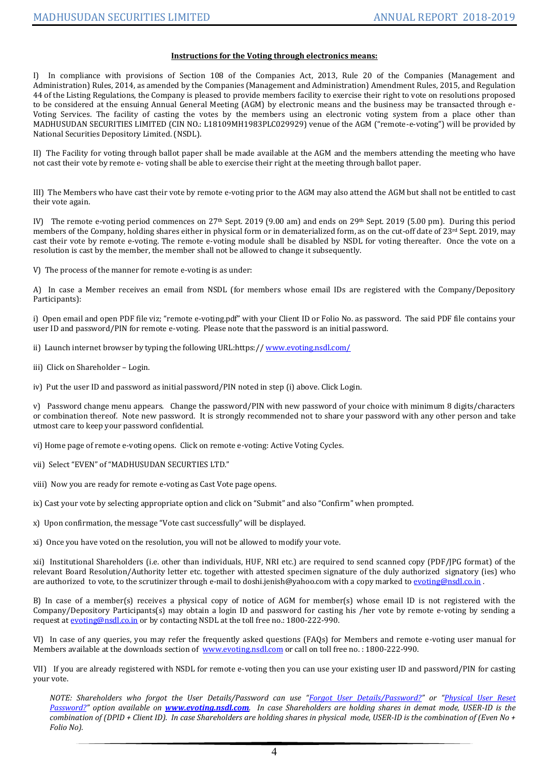#### **Instructions for the Voting through electronics means:**

I) In compliance with provisions of Section 108 of the Companies Act, 2013, Rule 20 of the Companies (Management and Administration) Rules, 2014, as amended by the Companies (Management and Administration) Amendment Rules, 2015, and Regulation 44 of the Listing Regulations, the Company is pleased to provide members facility to exercise their right to vote on resolutions proposed to be considered at the ensuing Annual General Meeting (AGM) by electronic means and the business may be transacted through e-Voting Services. The facility of casting the votes by the members using an electronic voting system from a place other than MADHUSUDAN SECURITIES LIMITED (CIN NO.: L18109MH1983PLC029929) venue of the AGM ("remote-e-voting") will be provided by National Securities Depository Limited. (NSDL).

II) The Facility for voting through ballot paper shall be made available at the AGM and the members attending the meeting who have not cast their vote by remote e- voting shall be able to exercise their right at the meeting through ballot paper.

III) The Members who have cast their vote by remote e-voting prior to the AGM may also attend the AGM but shall not be entitled to cast their vote again.

IV) The remote e-voting period commences on 27th Sept. 2019 (9.00 am) and ends on 29th Sept. 2019 (5.00 pm). During this period members of the Company, holding shares either in physical form or in dematerialized form, as on the cut-off date of 23rd Sept. 2019, may cast their vote by remote e-voting. The remote e-voting module shall be disabled by NSDL for voting thereafter. Once the vote on a resolution is cast by the member, the member shall not be allowed to change it subsequently.

V) The process of the manner for remote e-voting is as under:

A) In case a Member receives an email from NSDL (for members whose email IDs are registered with the Company/Depository Participants):

i) Open email and open PDF file viz; "remote e-voting.pdf" with your Client ID or Folio No. as password. The said PDF file contains your user ID and password/PIN for remote e-voting. Please note that the password is an initial password.

ii) Launch internet browser by typing the following URL:https://www.evoting.nsdl.com/

iii) Click on Shareholder – Login.

iv) Put the user ID and password as initial password/PIN noted in step (i) above. Click Login.

v) Password change menu appears. Change the password/PIN with new password of your choice with minimum 8 digits/characters or combination thereof. Note new password. It is strongly recommended not to share your password with any other person and take utmost care to keep your password confidential.

vi) Home page of remote e-voting opens. Click on remote e-voting: Active Voting Cycles.

vii) Select "EVEN" of "MADHUSUDAN SECURTIES LTD."

viii) Now you are ready for remote e-voting as Cast Vote page opens.

ix) Cast your vote by selecting appropriate option and click on "Submit" and also "Confirm" when prompted.

x) Upon confirmation, the message "Vote cast successfully" will be displayed.

xi) Once you have voted on the resolution, you will not be allowed to modify your vote.

xii) Institutional Shareholders (i.e. other than individuals, HUF, NRI etc.) are required to send scanned copy (PDF/JPG format) of the relevant Board Resolution/Authority letter etc. together with attested specimen signature of the duly authorized signatory (ies) who are authorized to vote, to the scrutinizer through e-mail to doshi.jenish@yahoo.com with a copy marked to evoting@nsdl.co.in.

B) In case of a member(s) receives a physical copy of notice of AGM for member(s) whose email ID is not registered with the Company/Depository Participants(s) may obtain a login ID and password for casting his /her vote by remote e-voting by sending a request at evoting@nsdl.co.in or by contacting NSDL at the toll free no.: 1800-222-990.

VI) In case of any queries, you may refer the frequently asked questions (FAQs) for Members and remote e-voting user manual for Members available at the downloads section of [www.evoting.nsdl.com o](http://www.evoting.nsdl.com/)r call on toll free no.: 1800-222-990.

VII) If you are already registered with NSDL for remote e-voting then you can use your existing user ID and password/PIN for casting your vote.

*NOTE: Shareholders who forgot the User Details/Password can use "[Forgot User Details/Password?](https://www.evoting.nsdl.com/eVotingWeb/commonhtmls/NewUser.jsp)" or "[Physical User Reset](https://www.evoting.nsdl.com/eVotingWeb/commonhtmls/PhysicalUser.jsp)  [Password?](https://www.evoting.nsdl.com/eVotingWeb/commonhtmls/PhysicalUser.jsp)" option available on [www.evoting.nsdl.com](http://www.evoting.nsdl.com/). In case Shareholders are holding shares in demat mode, USER-ID is the combination of (DPID + Client ID). In case Shareholders are holding shares in physical mode, USER-ID is the combination of (Even No + Folio No).*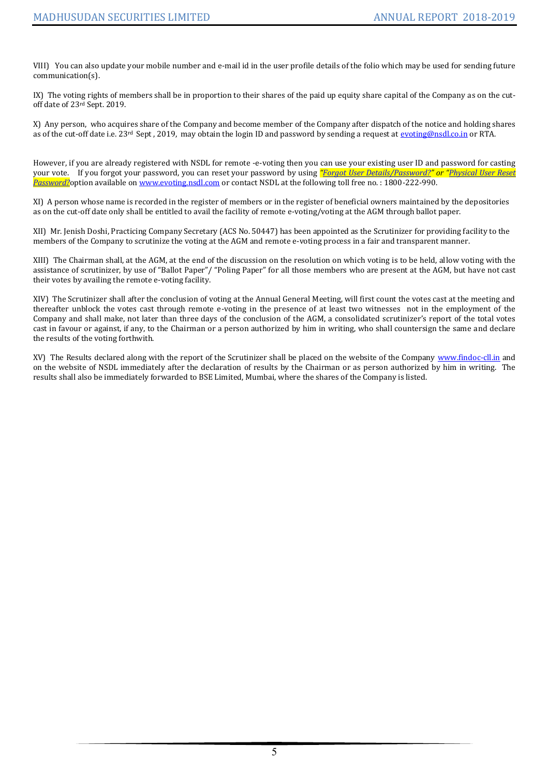VIII) You can also update your mobile number and e-mail id in the user profile details of the folio which may be used for sending future communication(s).

IX) The voting rights of members shall be in proportion to their shares of the paid up equity share capital of the Company as on the cutoff date of 23rd Sept. 2019.

X) Any person, who acquires share of the Company and become member of the Company after dispatch of the notice and holding shares as of the cut-off date i.e. 23<sup>rd</sup> Sept, 2019, may obtain the login ID and password by sending a request at *evoting@nsdl.co.in* or RTA.

However, if you are already registered with NSDL for remote -e-voting then you can use your existing user ID and password for casting your vote. If you forgot your password, you can reset your password by using *"[Forgot User Details/Password?](https://www.evoting.nsdl.com/eVotingWeb/commonhtmls/NewUser.jsp)" or "[Physical User Reset](https://www.evoting.nsdl.com/eVotingWeb/commonhtmls/PhysicalUser.jsp)  [Password?](https://www.evoting.nsdl.com/eVotingWeb/commonhtmls/PhysicalUser.jsp)*option available o[n www.evoting.nsdl.com o](http://www.evoting.nsdl.com/)r contact NSDL at the following toll free no. : 1800-222-990.

XI) A person whose name is recorded in the register of members or in the register of beneficial owners maintained by the depositories as on the cut-off date only shall be entitled to avail the facility of remote e-voting/voting at the AGM through ballot paper.

XII) Mr. Jenish Doshi, Practicing Company Secretary (ACS No. 50447) has been appointed as the Scrutinizer for providing facility to the members of the Company to scrutinize the voting at the AGM and remote e-voting process in a fair and transparent manner.

XIII) The Chairman shall, at the AGM, at the end of the discussion on the resolution on which voting is to be held, allow voting with the assistance of scrutinizer, by use of "Ballot Paper"/ "Poling Paper" for all those members who are present at the AGM, but have not cast their votes by availing the remote e-voting facility.

XIV) The Scrutinizer shall after the conclusion of voting at the Annual General Meeting, will first count the votes cast at the meeting and thereafter unblock the votes cast through remote e-voting in the presence of at least two witnesses not in the employment of the Company and shall make, not later than three days of the conclusion of the AGM, a consolidated scrutinizer's report of the total votes cast in favour or against, if any, to the Chairman or a person authorized by him in writing, who shall countersign the same and declare the results of the voting forthwith.

XV) The Results declared along with the report of the Scrutinizer shall be placed on the website of the Compan[y www.findoc-cll.in](http://www.findoc-cll.in/) and on the website of NSDL immediately after the declaration of results by the Chairman or as person authorized by him in writing. The results shall also be immediately forwarded to BSE Limited, Mumbai, where the shares of the Company is listed.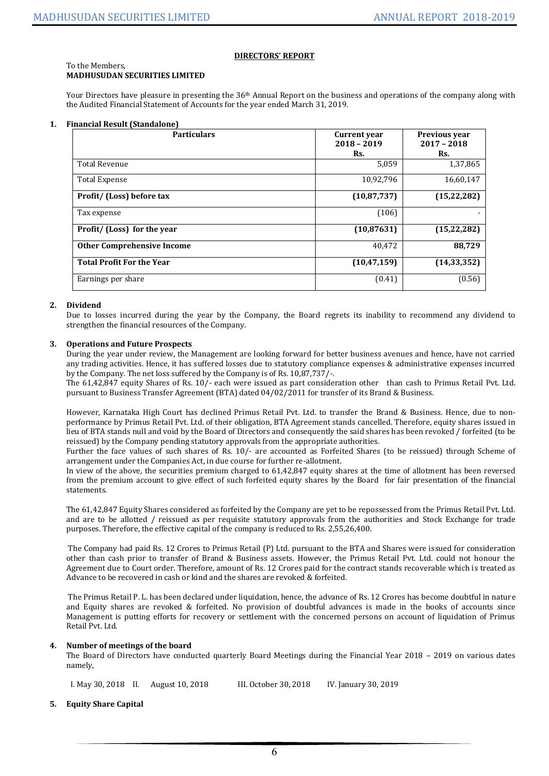#### **DIRECTORS' REPORT**

#### To the Members, **MADHUSUDAN SECURITIES LIMITED**

Your Directors have pleasure in presenting the 36<sup>th</sup> Annual Report on the business and operations of the company along with the Audited Financial Statement of Accounts for the year ended March 31, 2019.

#### **1. Financial Result (Standalone)**

| <b>Particulars</b>                | <b>Current year</b><br>$2018 - 2019$ | <b>Previous year</b><br>$2017 - 2018$ |  |  |
|-----------------------------------|--------------------------------------|---------------------------------------|--|--|
|                                   | Rs.                                  | Rs.                                   |  |  |
| <b>Total Revenue</b>              | 5,059                                | 1,37,865                              |  |  |
| <b>Total Expense</b>              | 10,92,796                            | 16,60,147                             |  |  |
| Profit/ (Loss) before tax         | (10, 87, 737)                        | (15, 22, 282)                         |  |  |
| Tax expense                       | (106)                                |                                       |  |  |
| Profit/ (Loss) for the year       | (10, 87631)                          | (15, 22, 282)                         |  |  |
| <b>Other Comprehensive Income</b> | 40,472                               | 88,729                                |  |  |
| <b>Total Profit For the Year</b>  | (10, 47, 159)                        | (14, 33, 352)                         |  |  |
| Earnings per share                | (0.41)                               | (0.56)                                |  |  |

#### **2. Dividend**

Due to losses incurred during the year by the Company, the Board regrets its inability to recommend any dividend to strengthen the financial resources of the Company.

#### **3. Operations and Future Prospects**

During the year under review, the Management are looking forward for better business avenues and hence, have not carried any trading activities. Hence, it has suffered losses due to statutory compliance expenses & administrative expenses incurred by the Company. The net loss suffered by the Company is of Rs. 10,87,737/-.

The 61,42,847 equity Shares of Rs. 10/- each were issued as part consideration other than cash to Primus Retail Pvt. Ltd. pursuant to Business Transfer Agreement (BTA) dated 04/02/2011 for transfer of its Brand & Business.

However, Karnataka High Court has declined Primus Retail Pvt. Ltd. to transfer the Brand & Business. Hence, due to nonperformance by Primus Retail Pvt. Ltd. of their obligation, BTA Agreement stands cancelled. Therefore, equity shares issued in lieu of BTA stands null and void by the Board of Directors and consequently the said shares has been revoked / forfeited (to be reissued) by the Company pending statutory approvals from the appropriate authorities.

Further the face values of such shares of Rs. 10/- are accounted as Forfeited Shares (to be reissued) through Scheme of arrangement under the Companies Act, in due course for further re-allotment.

In view of the above, the securities premium charged to 61,42,847 equity shares at the time of allotment has been reversed from the premium account to give effect of such forfeited equity shares by the Board for fair presentation of the financial statements.

The 61,42,847 Equity Shares considered as forfeited by the Company are yet to be repossessed from the Primus Retail Pvt. Ltd. and are to be allotted / reissued as per requisite statutory approvals from the authorities and Stock Exchange for trade purposes. Therefore, the effective capital of the company is reduced to Rs. 2,55,26,400.

 The Company had paid Rs. 12 Crores to Primus Retail (P) Ltd. pursuant to the BTA and Shares were issued for consideration other than cash prior to transfer of Brand & Business assets. However, the Primus Retail Pvt. Ltd. could not honour the Agreement due to Court order. Therefore, amount of Rs. 12 Crores paid for the contract stands recoverable which is treated as Advance to be recovered in cash or kind and the shares are revoked & forfeited.

 The Primus Retail P. L. has been declared under liquidation, hence, the advance of Rs. 12 Crores has become doubtful in nature and Equity shares are revoked & forfeited. No provision of doubtful advances is made in the books of accounts since Management is putting efforts for recovery or settlement with the concerned persons on account of liquidation of Primus Retail Pvt. Ltd.

#### **4. Number of meetings of the board**

The Board of Directors have conducted quarterly Board Meetings during the Financial Year 2018 – 2019 on various dates namely,

I. May 30, 2018 II. August 10, 2018 III. October 30, 2018 IV. January 30, 2019

### **5. Equity Share Capital**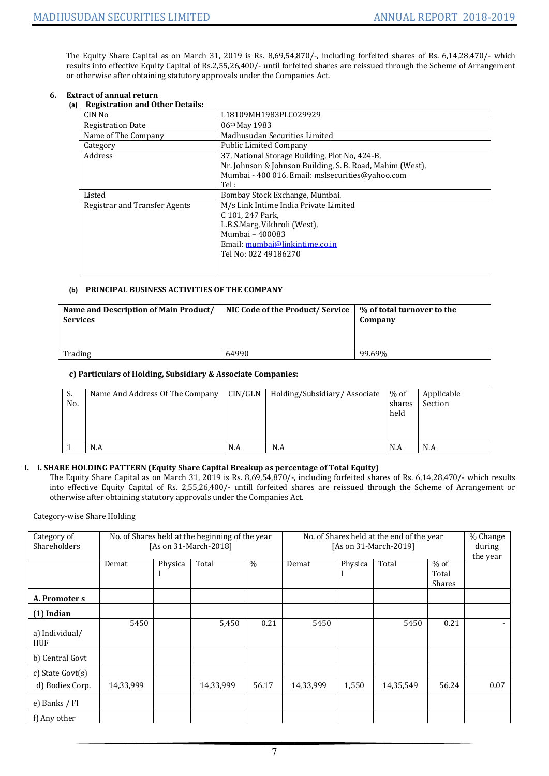The Equity Share Capital as on March 31, 2019 is Rs. 8,69,54,870/-, including forfeited shares of Rs. 6,14,28,470/- which results into effective Equity Capital of Rs.2,55,26,400/- until forfeited shares are reissued through the Scheme of Arrangement or otherwise after obtaining statutory approvals under the Companies Act.

#### **6. Extract of annual return**

٦

#### **(a) Registration and Other Details:**

| CIN No                        | L18109MH1983PLC029929                                     |  |  |  |  |  |  |
|-------------------------------|-----------------------------------------------------------|--|--|--|--|--|--|
| <b>Registration Date</b>      | 06th May 1983                                             |  |  |  |  |  |  |
| Name of The Company           | Madhusudan Securities Limited                             |  |  |  |  |  |  |
| Category                      | <b>Public Limited Company</b>                             |  |  |  |  |  |  |
| Address                       | 37, National Storage Building, Plot No, 424-B.            |  |  |  |  |  |  |
|                               | Nr. Johnson & Johnson Building, S. B. Road, Mahim (West), |  |  |  |  |  |  |
|                               | Mumbai - 400 016. Email: mslsecurities@yahoo.com          |  |  |  |  |  |  |
|                               | Tel:                                                      |  |  |  |  |  |  |
|                               |                                                           |  |  |  |  |  |  |
| Listed                        | Bombay Stock Exchange, Mumbai.                            |  |  |  |  |  |  |
| Registrar and Transfer Agents | M/s Link Intime India Private Limited                     |  |  |  |  |  |  |
|                               | C 101, 247 Park,                                          |  |  |  |  |  |  |
|                               | L.B.S.Marg, Vikhroli (West),                              |  |  |  |  |  |  |
|                               | Mumbai - 400083                                           |  |  |  |  |  |  |
|                               | Email: mumbai@linkintime.co.in                            |  |  |  |  |  |  |
|                               | Tel No: 022 49186270                                      |  |  |  |  |  |  |
|                               |                                                           |  |  |  |  |  |  |

#### **(b) PRINCIPAL BUSINESS ACTIVITIES OF THE COMPANY**

| Name and Description of Main Product/<br><b>Services</b> | NIC Code of the Product/Service $\vert \psi_0$ of total turnover to the | Company |
|----------------------------------------------------------|-------------------------------------------------------------------------|---------|
| Trading                                                  | 64990                                                                   | 99.69%  |

#### **c) Particulars of Holding, Subsidiary & Associate Companies:**

| S.<br>No. | Name And Address Of The Company | CIN/GLN | Holding/Subsidiary/Associate | % of<br>shares<br>held | Applicable<br>Section |
|-----------|---------------------------------|---------|------------------------------|------------------------|-----------------------|
|           | N.A                             | N.A     | N.A                          | N.A                    | N.A                   |

## **I. i. SHARE HOLDING PATTERN (Equity Share Capital Breakup as percentage of Total Equity)**

The Equity Share Capital as on March 31, 2019 is Rs. 8,69,54,870/-, including forfeited shares of Rs. 6,14,28,470/- which results into effective Equity Capital of Rs. 2,55,26,400/- untill forfeited shares are reissued through the Scheme of Arrangement or otherwise after obtaining statutory approvals under the Companies Act.

Category-wise Share Holding

| Category of<br><b>Shareholders</b> | No. of Shares held at the beginning of the year<br>[As on 31-March-2018] |         |           | No. of Shares held at the end of the year<br>[As on 31-March-2019] |           |         |           | % Change<br>during<br>the year |      |
|------------------------------------|--------------------------------------------------------------------------|---------|-----------|--------------------------------------------------------------------|-----------|---------|-----------|--------------------------------|------|
|                                    | Demat                                                                    | Physica | Total     | $\%$                                                               | Demat     | Physica | Total     | $%$ of<br>Total<br>Shares      |      |
| A. Promoter s                      |                                                                          |         |           |                                                                    |           |         |           |                                |      |
| $(1)$ Indian                       |                                                                          |         |           |                                                                    |           |         |           |                                |      |
| a) Individual/<br>HUF              | 5450                                                                     |         | 5,450     | 0.21                                                               | 5450      |         | 5450      | 0.21                           |      |
| b) Central Govt                    |                                                                          |         |           |                                                                    |           |         |           |                                |      |
| c) State Govt $(s)$                |                                                                          |         |           |                                                                    |           |         |           |                                |      |
| d) Bodies Corp.                    | 14,33,999                                                                |         | 14,33,999 | 56.17                                                              | 14,33,999 | 1,550   | 14,35,549 | 56.24                          | 0.07 |
| e) Banks / FI                      |                                                                          |         |           |                                                                    |           |         |           |                                |      |
| f) Any other                       |                                                                          |         |           |                                                                    |           |         |           |                                |      |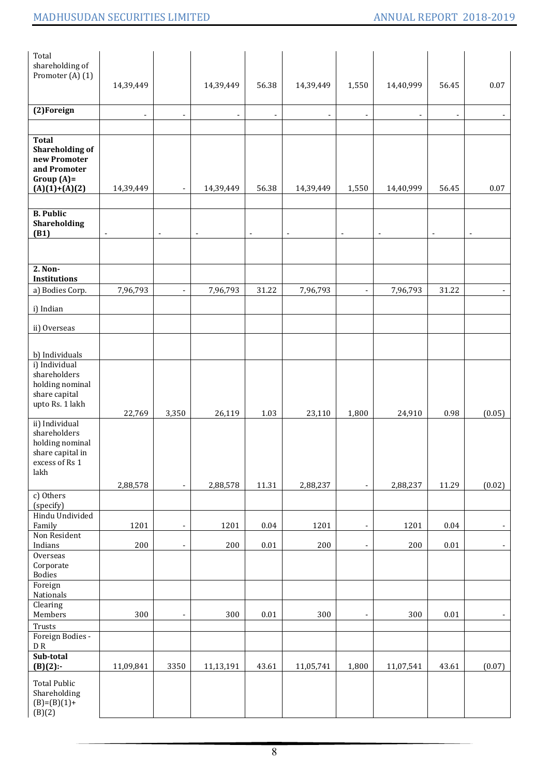| Total<br>shareholding of<br>Promoter (A) (1)                                                               | 14,39,449                |                          | 14,39,449                | 56.38                    | 14,39,449                | 1,550                    | 14,40,999                | 56.45                    | $0.07\,$                 |
|------------------------------------------------------------------------------------------------------------|--------------------------|--------------------------|--------------------------|--------------------------|--------------------------|--------------------------|--------------------------|--------------------------|--------------------------|
| (2)Foreign                                                                                                 | $\overline{\phantom{a}}$ | $\blacksquare$           | $\overline{\phantom{a}}$ | $\overline{\phantom{a}}$ | $\overline{\phantom{m}}$ | $\overline{\phantom{a}}$ |                          | $\blacksquare$           |                          |
|                                                                                                            |                          |                          |                          |                          |                          |                          |                          |                          |                          |
| <b>Total</b><br><b>Shareholding of</b><br>new Promoter<br>and Promoter<br>Group $(A)$ =<br>$(A)(1)+(A)(2)$ | 14,39,449                | $\overline{\phantom{a}}$ | 14,39,449                | 56.38                    | 14,39,449                | 1,550                    | 14,40,999                | 56.45                    | 0.07                     |
| <b>B.</b> Public<br>Shareholding<br>(B1)                                                                   | $\overline{\phantom{a}}$ | $\overline{\phantom{a}}$ | $\overline{\phantom{a}}$ | $\blacksquare$           | $\blacksquare$           | $\overline{\phantom{a}}$ | $\overline{\phantom{a}}$ | $\overline{\phantom{a}}$ | $\overline{\phantom{a}}$ |
|                                                                                                            |                          |                          |                          |                          |                          |                          |                          |                          |                          |
| $2.$ Non-<br><b>Institutions</b>                                                                           |                          |                          |                          |                          |                          |                          |                          |                          |                          |
| a) Bodies Corp.                                                                                            | 7,96,793                 | $\blacksquare$           | 7,96,793                 | 31.22                    | 7,96,793                 | $\blacksquare$           | 7,96,793                 | 31.22                    | $\overline{\phantom{a}}$ |
| i) Indian                                                                                                  |                          |                          |                          |                          |                          |                          |                          |                          |                          |
| ii) Overseas                                                                                               |                          |                          |                          |                          |                          |                          |                          |                          |                          |
| b) Individuals                                                                                             |                          |                          |                          |                          |                          |                          |                          |                          |                          |
| i) Individual<br>shareholders<br>holding nominal<br>share capital<br>upto Rs. 1 lakh                       | 22,769                   | 3,350                    | 26,119                   | 1.03                     | 23,110                   | 1,800                    | 24,910                   | 0.98                     | (0.05)                   |
| ii) Individual<br>shareholders<br>holding nominal<br>share capital in<br>excess of Rs 1<br>lakh            |                          |                          |                          |                          |                          |                          |                          |                          |                          |
| c) Others                                                                                                  | 2,88,578                 | $\overline{\phantom{a}}$ | 2,88,578                 | 11.31                    | 2,88,237                 | $\overline{\phantom{a}}$ | 2,88,237                 | 11.29                    | (0.02)                   |
| (specify)                                                                                                  |                          |                          |                          |                          |                          |                          |                          |                          |                          |
| Hindu Undivided<br>Family                                                                                  | 1201                     | $\overline{\phantom{a}}$ | 1201                     | 0.04                     | 1201                     | $\blacksquare$           | 1201                     | 0.04                     | $\overline{\phantom{a}}$ |
| Non Resident<br>Indians                                                                                    | 200                      |                          | 200                      | $0.01\,$                 | 200                      |                          | 200                      | 0.01                     | $\blacksquare$           |
| Overseas<br>Corporate<br><b>Bodies</b>                                                                     |                          | $\blacksquare$           |                          |                          |                          | $\overline{\phantom{a}}$ |                          |                          |                          |
| Foreign<br>Nationals                                                                                       |                          |                          |                          |                          |                          |                          |                          |                          |                          |
| Clearing                                                                                                   |                          |                          |                          |                          |                          |                          |                          |                          |                          |
| Members                                                                                                    | 300                      | $\overline{\phantom{a}}$ | 300                      | $0.01\,$                 | 300                      | $\blacksquare$           | 300                      | $0.01\,$                 | $\overline{\phantom{a}}$ |
| Trusts<br>Foreign Bodies -                                                                                 |                          |                          |                          |                          |                          |                          |                          |                          |                          |
| $\mathbf{D}$ R                                                                                             |                          |                          |                          |                          |                          |                          |                          |                          |                          |
| Sub-total<br>$(B)(2)$ :-                                                                                   | 11,09,841                | 3350                     | 11,13,191                | 43.61                    | 11,05,741                | 1,800                    | 11,07,541                | 43.61                    | (0.07)                   |
| <b>Total Public</b><br>Shareholding<br>$(B)=(B)(1)+$<br>(B)(2)                                             |                          |                          |                          |                          |                          |                          |                          |                          |                          |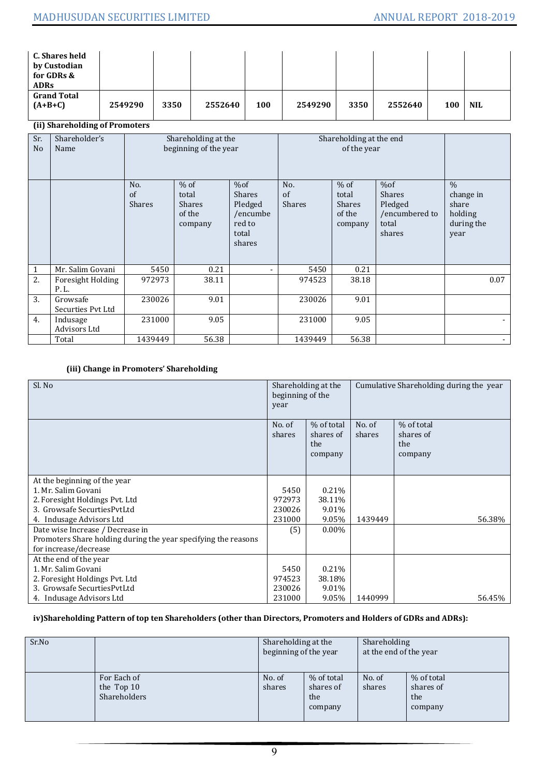| C. Shares held<br>by Custodian<br>for GDRs &<br><b>ADRs</b> |         |      |         |     |         |      |         |     |            |
|-------------------------------------------------------------|---------|------|---------|-----|---------|------|---------|-----|------------|
| <b>Grand Total</b><br>$(A+B+C)$                             | 2549290 | 3350 | 2552640 | 100 | 2549290 | 3350 | 2552640 | 100 | <b>NIL</b> |

## **(ii) Shareholding of Promoters**

٦

| Sr.<br>N <sub>o</sub> | Shareholder's<br>Name         |                                    | Shareholding at the<br>beginning of the year          | Shareholding at the end<br>of the year                                      |                            |                                                       |                                                                      |                                                                      |
|-----------------------|-------------------------------|------------------------------------|-------------------------------------------------------|-----------------------------------------------------------------------------|----------------------------|-------------------------------------------------------|----------------------------------------------------------------------|----------------------------------------------------------------------|
|                       |                               | No.<br>$\alpha$ f<br><b>Shares</b> | $%$ of<br>total<br><b>Shares</b><br>of the<br>company | $\%of$<br><b>Shares</b><br>Pledged<br>/encumbe<br>red to<br>total<br>shares | No.<br>of<br><b>Shares</b> | $%$ of<br>total<br><b>Shares</b><br>of the<br>company | %of<br><b>Shares</b><br>Pledged<br>/encumbered to<br>total<br>shares | $\frac{0}{0}$<br>change in<br>share<br>holding<br>during the<br>year |
| 1                     | Mr. Salim Govani              | 5450                               | 0.21                                                  | $\overline{\phantom{0}}$                                                    | 5450                       | 0.21                                                  |                                                                      |                                                                      |
| 2.                    | Foresight Holding<br>P.L.     | 972973                             | 38.11                                                 |                                                                             | 974523                     | 38.18                                                 |                                                                      | 0.07                                                                 |
| 3.                    | Growsafe<br>Securties Pyt Ltd | 230026                             | 9.01                                                  |                                                                             | 230026                     | 9.01                                                  |                                                                      |                                                                      |
| 4.                    | Indusage<br>Advisors Ltd      | 231000                             | 9.05                                                  |                                                                             | 231000                     | 9.05                                                  |                                                                      |                                                                      |
|                       | Total                         | 1439449                            | 56.38                                                 |                                                                             | 1439449                    | 56.38                                                 |                                                                      |                                                                      |

## **(iii) Change in Promoters' Shareholding**

| Sl. No                                                         | beginning of the<br>year | Shareholding at the                       | Cumulative Shareholding during the year |                                           |  |
|----------------------------------------------------------------|--------------------------|-------------------------------------------|-----------------------------------------|-------------------------------------------|--|
|                                                                | No. of<br>shares         | % of total<br>shares of<br>the<br>company | No. of<br>shares                        | % of total<br>shares of<br>the<br>company |  |
| At the beginning of the year                                   |                          |                                           |                                         |                                           |  |
| 1. Mr. Salim Govani                                            | 5450                     | 0.21%                                     |                                         |                                           |  |
| 2. Foresight Holdings Pvt. Ltd                                 | 972973                   | 38.11%                                    |                                         |                                           |  |
| 3. Growsafe Securties PytLtd                                   | 230026                   | 9.01%                                     |                                         |                                           |  |
| Indusage Advisors Ltd<br>4.                                    | 231000                   | 9.05%                                     | 1439449                                 | 56.38%                                    |  |
| Date wise Increase / Decrease in                               | (5)                      | $0.00\%$                                  |                                         |                                           |  |
| Promoters Share holding during the year specifying the reasons |                          |                                           |                                         |                                           |  |
| for increase/decrease                                          |                          |                                           |                                         |                                           |  |
| At the end of the year                                         |                          |                                           |                                         |                                           |  |
| 1. Mr. Salim Govani                                            | 5450                     | 0.21%                                     |                                         |                                           |  |
| 2. Foresight Holdings Pvt. Ltd.                                | 974523                   | 38.18%                                    |                                         |                                           |  |
| 3. Growsafe SecurtiesPvtLtd                                    | 230026                   | 9.01%                                     |                                         |                                           |  |
| 4. Indusage Advisors Ltd                                       | 231000                   | 9.05%                                     | 1440999                                 | 56.45%                                    |  |

## **iv)Shareholding Pattern of top ten Shareholders (other than Directors, Promoters and Holders of GDRs and ADRs):**

| Sr.No |                                           | Shareholding at the<br>beginning of the year |                                           | Shareholding<br>at the end of the year |                                           |
|-------|-------------------------------------------|----------------------------------------------|-------------------------------------------|----------------------------------------|-------------------------------------------|
|       | For Each of<br>the Top 10<br>Shareholders | No. of<br>shares                             | % of total<br>shares of<br>the<br>company | No. of<br>shares                       | % of total<br>shares of<br>the<br>company |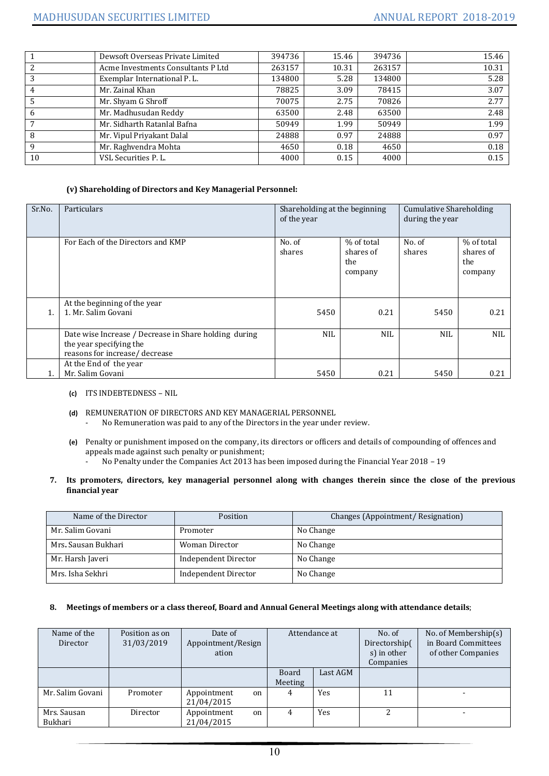|    | Dewsoft Overseas Private Limited   | 394736 | 15.46 | 394736 | 15.46 |
|----|------------------------------------|--------|-------|--------|-------|
|    | Acme Investments Consultants P Ltd | 263157 | 10.31 | 263157 | 10.31 |
|    | Exemplar International P.L.        | 134800 | 5.28  | 134800 | 5.28  |
|    | Mr. Zainal Khan                    | 78825  | 3.09  | 78415  | 3.07  |
|    | Mr. Shyam G Shroff                 | 70075  | 2.75  | 70826  | 2.77  |
| 6  | Mr. Madhusudan Reddy               | 63500  | 2.48  | 63500  | 2.48  |
|    | Mr. Sidharth Ratanlal Bafna        | 50949  | 1.99  | 50949  | 1.99  |
| 8  | Mr. Vipul Priyakant Dalal          | 24888  | 0.97  | 24888  | 0.97  |
| 9  | Mr. Raghvendra Mohta               | 4650   | 0.18  | 4650   | 0.18  |
| 10 | VSL Securities P. L.               | 4000   | 0.15  | 4000   | 0.15  |

#### **(v) Shareholding of Directors and Key Managerial Personnel:**

| Sr.No. | Particulars                                                                                                       | Shareholding at the beginning<br>of the year |                                           | <b>Cumulative Shareholding</b><br>during the year |                                           |
|--------|-------------------------------------------------------------------------------------------------------------------|----------------------------------------------|-------------------------------------------|---------------------------------------------------|-------------------------------------------|
|        | For Each of the Directors and KMP                                                                                 | No. of<br>shares                             | % of total<br>shares of<br>the<br>company | No. of<br>shares                                  | % of total<br>shares of<br>the<br>company |
|        | At the beginning of the year<br>1. Mr. Salim Govani                                                               | 5450                                         | 0.21                                      | 5450                                              | 0.21                                      |
|        | Date wise Increase / Decrease in Share holding during<br>the year specifying the<br>reasons for increase/decrease | <b>NIL</b>                                   | <b>NIL</b>                                | <b>NIL</b>                                        | <b>NIL</b>                                |
|        | At the End of the year<br>Mr. Salim Govani                                                                        | 5450                                         | 0.21                                      | 5450                                              | 0.21                                      |

- **(c)** ITS INDEBTEDNESS NIL
- **(d)** REMUNERATION OF DIRECTORS AND KEY MANAGERIAL PERSONNEL
	- No Remuneration was paid to any of the Directors in the year under review.
- **(e)** Penalty or punishment imposed on the company, its directors or officers and details of compounding of offences and appeals made against such penalty or punishment;
	- No Penalty under the Companies Act 2013 has been imposed during the Financial Year 2018 19
- **7. Its promoters, directors, key managerial personnel along with changes therein since the close of the previous financial year**

| Name of the Director | Position              | Changes (Appointment/Resignation) |
|----------------------|-----------------------|-----------------------------------|
| Mr. Salim Govani     | Promoter              | No Change                         |
| Mrs. Sausan Bukhari  | <b>Woman Director</b> | No Change                         |
| Mr. Harsh Javeri     | Independent Director  | No Change                         |
| Mrs. Isha Sekhri     | Independent Director  | No Change                         |

### **8. Meetings of members or a class thereof, Board and Annual General Meetings along with attendance details**;

| Name of the      | Position as on | Date of            |               | Attendance at |          | No. of        | No. of Membership $(s)$  |
|------------------|----------------|--------------------|---------------|---------------|----------|---------------|--------------------------|
| Director         | 31/03/2019     | Appointment/Resign |               |               |          | Directorship( | in Board Committees      |
|                  |                | ation              |               |               |          | s) in other   | of other Companies       |
|                  |                |                    |               |               |          | Companies     |                          |
|                  |                |                    |               | Board         | Last AGM |               |                          |
|                  |                |                    |               | Meeting       |          |               |                          |
| Mr. Salim Govani | Promoter       | Appointment        | <sub>on</sub> | 4             | Yes      | 11            | $\overline{\phantom{a}}$ |
|                  |                | 21/04/2015         |               |               |          |               |                          |
| Mrs. Sausan      | Director       | Appointment        | <sub>on</sub> | 4             | Yes      | 2             | $\overline{\phantom{a}}$ |
| Bukhari          |                | 21/04/2015         |               |               |          |               |                          |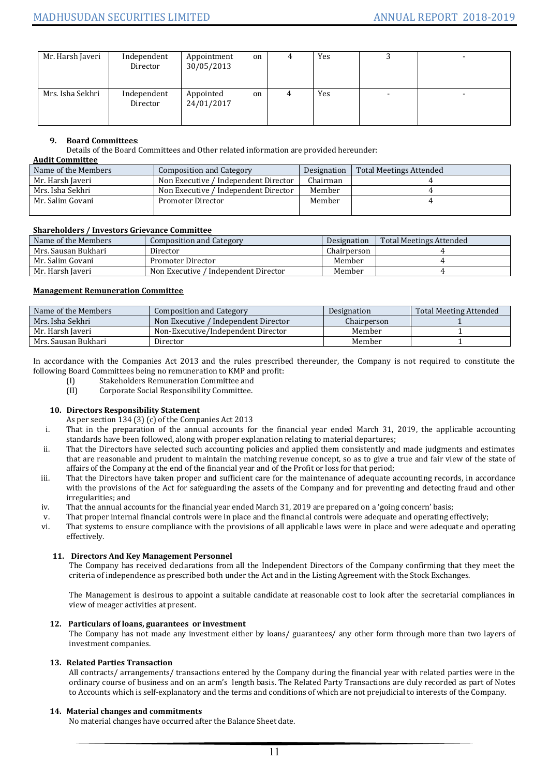| Mr. Harsh Javeri | Independent<br>Director | Appointment<br>30/05/2013 | on |   | Yes |   |                          |
|------------------|-------------------------|---------------------------|----|---|-----|---|--------------------------|
| Mrs. Isha Sekhri | Independent<br>Director | Appointed<br>24/01/2017   | on | 4 | Yes | - | $\overline{\phantom{a}}$ |

#### **9. Board Committees**:

Details of the Board Committees and Other related information are provided hereunder:

**Audit Committee** 

٦

| -----------------   |                                      |             |                         |
|---------------------|--------------------------------------|-------------|-------------------------|
| Name of the Members | Composition and Category             | Designation | Total Meetings Attended |
| Mr. Harsh Javeri    | Non Executive / Independent Director | Chairman    |                         |
| Mrs. Isha Sekhri    | Non Executive / Independent Director | Member      |                         |
| Mr. Salim Govani    | Promoter Director                    | Member      |                         |
|                     |                                      |             |                         |

#### **Shareholders / Investors Grievance Committee**

| Name of the Members | Composition and Category             | Designation | Total Meetings Attended |
|---------------------|--------------------------------------|-------------|-------------------------|
| Mrs. Sausan Bukhari | Director                             | Chairperson |                         |
| Mr. Salim Govani    | Promoter Director                    | Member      |                         |
| Mr. Harsh Javeri    | Non Executive / Independent Director | Member      |                         |

#### **Management Remuneration Committee**

| Name of the Members | Composition and Category             | Designation | Total Meeting Attended |
|---------------------|--------------------------------------|-------------|------------------------|
| Mrs. Isha Sekhri    | Non Executive / Independent Director | Chairperson |                        |
| Mr. Harsh Javeri    | Non-Executive/Independent Director   | Member      |                        |
| Mrs. Sausan Bukhari | Director                             | Member      |                        |

In accordance with the Companies Act 2013 and the rules prescribed thereunder, the Company is not required to constitute the following Board Committees being no remuneration to KMP and profit:

- (I) Stakeholders Remuneration Committee and<br>(II) Cornorate Social Resnonsibility Committee.
- Corporate Social Responsibility Committee.

#### **10. Directors Responsibility Statement**

As per section 134 (3) (c) of the Companies Act 2013

- i. That in the preparation of the annual accounts for the financial year ended March 31, 2019, the applicable accounting standards have been followed, along with proper explanation relating to material departures;
- ii. That the Directors have selected such accounting policies and applied them consistently and made judgments and estimates that are reasonable and prudent to maintain the matching revenue concept, so as to give a true and fair view of the state of affairs of the Company at the end of the financial year and of the Profit or loss for that period;
- iii. That the Directors have taken proper and sufficient care for the maintenance of adequate accounting records, in accordance with the provisions of the Act for safeguarding the assets of the Company and for preventing and detecting fraud and other irregularities; and
- iv. That the annual accounts for the financial year ended March 31, 2019 are prepared on a 'going concern' basis;
- That proper internal financial controls were in place and the financial controls were adequate and operating effectively;
- vi. That systems to ensure compliance with the provisions of all applicable laws were in place and were adequate and operating effectively.

#### **11. Directors And Key Management Personnel**

The Company has received declarations from all the Independent Directors of the Company confirming that they meet the criteria of independence as prescribed both under the Act and in the Listing Agreement with the Stock Exchanges.

The Management is desirous to appoint a suitable candidate at reasonable cost to look after the secretarial compliances in view of meager activities at present.

#### **12. Particulars of loans, guarantees or investment**

The Company has not made any investment either by loans/ guarantees/ any other form through more than two layers of investment companies.

#### **13. Related Parties Transaction**

All contracts/ arrangements/ transactions entered by the Company during the financial year with related parties were in the ordinary course of business and on an arm's length basis. The Related Party Transactions are duly recorded as part of Notes to Accounts which is self-explanatory and the terms and conditions of which are not prejudicial to interests of the Company.

#### **14. Material changes and commitments**

No material changes have occurred after the Balance Sheet date.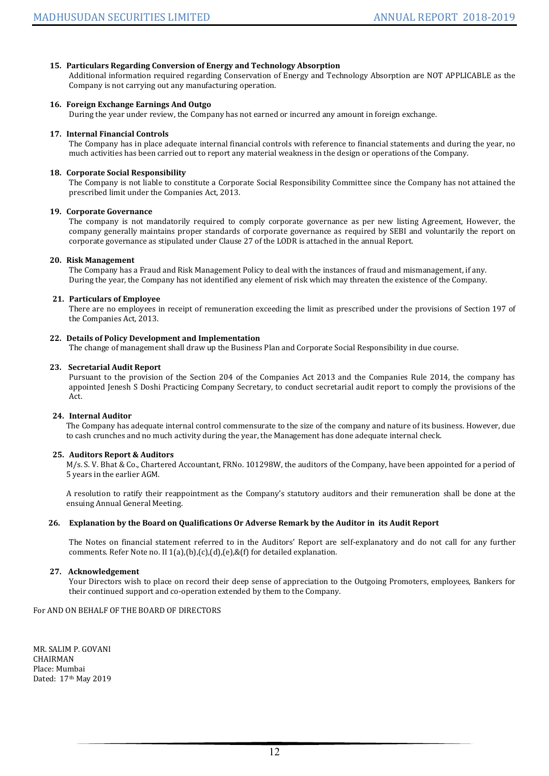## **15. Particulars Regarding Conversion of Energy and Technology Absorption**

Additional information required regarding Conservation of Energy and Technology Absorption are NOT APPLICABLE as the Company is not carrying out any manufacturing operation.

#### **16. Foreign Exchange Earnings And Outgo**

During the year under review, the Company has not earned or incurred any amount in foreign exchange.

#### **17. Internal Financial Controls**

The Company has in place adequate internal financial controls with reference to financial statements and during the year, no much activities has been carried out to report any material weakness in the design or operations of the Company.

#### **18. Corporate Social Responsibility**

The Company is not liable to constitute a Corporate Social Responsibility Committee since the Company has not attained the prescribed limit under the Companies Act, 2013.

#### **19. Corporate Governance**

The company is not mandatorily required to comply corporate governance as per new listing Agreement, However, the company generally maintains proper standards of corporate governance as required by SEBI and voluntarily the report on corporate governance as stipulated under Clause 27 of the LODR is attached in the annual Report.

#### **20. Risk Management**

The Company has a Fraud and Risk Management Policy to deal with the instances of fraud and mismanagement, if any. During the year, the Company has not identified any element of risk which may threaten the existence of the Company.

#### **21. Particulars of Employee**

There are no employees in receipt of remuneration exceeding the limit as prescribed under the provisions of Section 197 of the Companies Act, 2013.

#### **22. Details of Policy Development and Implementation**

The change of management shall draw up the Business Plan and Corporate Social Responsibility in due course.

#### **23. Secretarial Audit Report**

Pursuant to the provision of the Section 204 of the Companies Act 2013 and the Companies Rule 2014, the company has appointed Jenesh S Doshi Practicing Company Secretary, to conduct secretarial audit report to comply the provisions of the Act.

#### **24. Internal Auditor**

The Company has adequate internal control commensurate to the size of the company and nature of its business. However, due to cash crunches and no much activity during the year, the Management has done adequate internal check.

#### **25. Auditors Report & Auditors**

M/s. S. V. Bhat & Co., Chartered Accountant, FRNo. 101298W, the auditors of the Company, have been appointed for a period of 5 years in the earlier AGM.

A resolution to ratify their reappointment as the Company's statutory auditors and their remuneration shall be done at the ensuing Annual General Meeting.

#### **26. Explanation by the Board on Qualifications Or Adverse Remark by the Auditor in its Audit Report**

The Notes on financial statement referred to in the Auditors' Report are self-explanatory and do not call for any further comments. Refer Note no. II 1(a),(b),(c),(d),(e),&(f) for detailed explanation.

#### **27. Acknowledgement**

Your Directors wish to place on record their deep sense of appreciation to the Outgoing Promoters, employees, Bankers for their continued support and co-operation extended by them to the Company.

#### For AND ON BEHALF OF THE BOARD OF DIRECTORS

MR. SALIM P. GOVANI CHAIRMAN Place: Mumbai Dated: 17th May 2019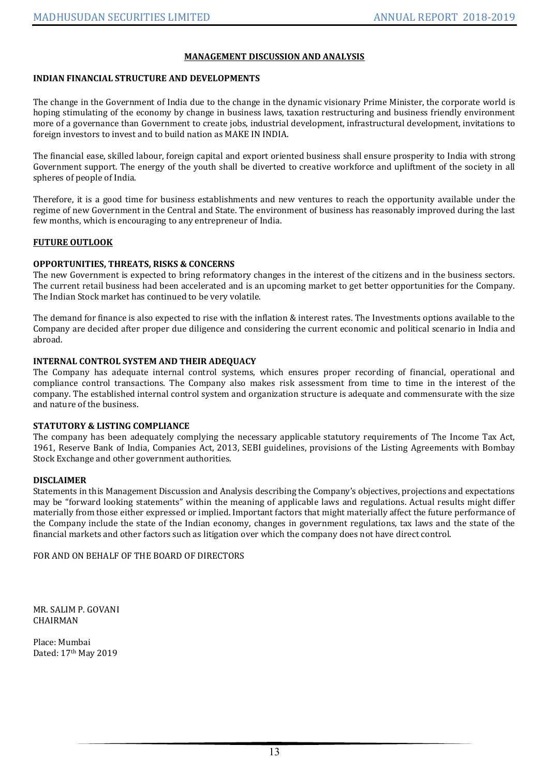## **MANAGEMENT DISCUSSION AND ANALYSIS**

## **INDIAN FINANCIAL STRUCTURE AND DEVELOPMENTS**

The change in the Government of India due to the change in the dynamic visionary Prime Minister, the corporate world is hoping stimulating of the economy by change in business laws, taxation restructuring and business friendly environment more of a governance than Government to create jobs, industrial development, infrastructural development, invitations to foreign investors to invest and to build nation as MAKE IN INDIA.

The financial ease, skilled labour, foreign capital and export oriented business shall ensure prosperity to India with strong Government support. The energy of the youth shall be diverted to creative workforce and upliftment of the society in all spheres of people of India.

Therefore, it is a good time for business establishments and new ventures to reach the opportunity available under the regime of new Government in the Central and State. The environment of business has reasonably improved during the last few months, which is encouraging to any entrepreneur of India.

## **FUTURE OUTLOOK**

٦

## **OPPORTUNITIES, THREATS, RISKS & CONCERNS**

The new Government is expected to bring reformatory changes in the interest of the citizens and in the business sectors. The current retail business had been accelerated and is an upcoming market to get better opportunities for the Company. The Indian Stock market has continued to be very volatile.

The demand for finance is also expected to rise with the inflation & interest rates. The Investments options available to the Company are decided after proper due diligence and considering the current economic and political scenario in India and abroad.

## **INTERNAL CONTROL SYSTEM AND THEIR ADEQUACY**

The Company has adequate internal control systems, which ensures proper recording of financial, operational and compliance control transactions. The Company also makes risk assessment from time to time in the interest of the company. The established internal control system and organization structure is adequate and commensurate with the size and nature of the business.

## **STATUTORY & LISTING COMPLIANCE**

The company has been adequately complying the necessary applicable statutory requirements of The Income Tax Act, 1961, Reserve Bank of India, Companies Act, 2013, SEBI guidelines, provisions of the Listing Agreements with Bombay Stock Exchange and other government authorities.

### **DISCLAIMER**

Statements in this Management Discussion and Analysis describing the Company's objectives, projections and expectations may be "forward looking statements" within the meaning of applicable laws and regulations. Actual results might differ materially from those either expressed or implied. Important factors that might materially affect the future performance of the Company include the state of the Indian economy, changes in government regulations, tax laws and the state of the financial markets and other factors such as litigation over which the company does not have direct control.

FOR AND ON BEHALF OF THE BOARD OF DIRECTORS

MR. SALIM P. GOVANI CHAIRMAN

Place: Mumbai Dated: 17th May 2019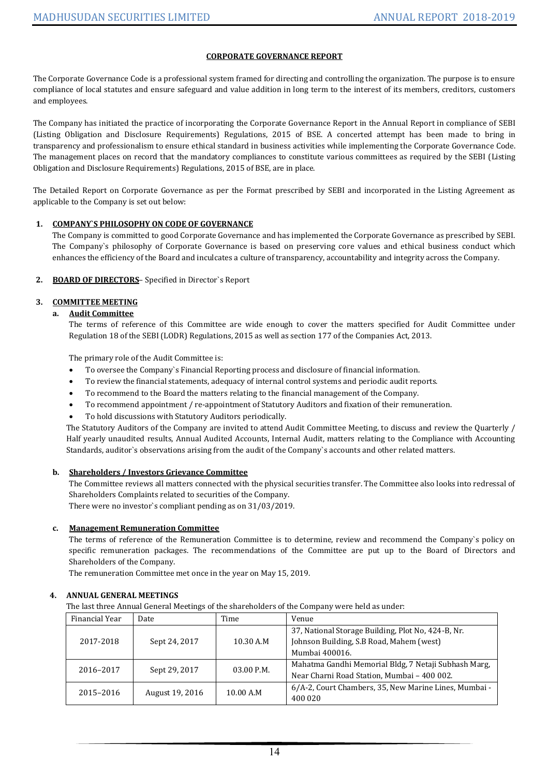## **CORPORATE GOVERNANCE REPORT**

The Corporate Governance Code is a professional system framed for directing and controlling the organization. The purpose is to ensure compliance of local statutes and ensure safeguard and value addition in long term to the interest of its members, creditors, customers and employees.

The Company has initiated the practice of incorporating the Corporate Governance Report in the Annual Report in compliance of SEBI (Listing Obligation and Disclosure Requirements) Regulations, 2015 of BSE. A concerted attempt has been made to bring in transparency and professionalism to ensure ethical standard in business activities while implementing the Corporate Governance Code. The management places on record that the mandatory compliances to constitute various committees as required by the SEBI (Listing Obligation and Disclosure Requirements) Regulations, 2015 of BSE, are in place.

The Detailed Report on Corporate Governance as per the Format prescribed by SEBI and incorporated in the Listing Agreement as applicable to the Company is set out below:

### **1. COMPANY`S PHILOSOPHY ON CODE OF GOVERNANCE**

The Company is committed to good Corporate Governance and has implemented the Corporate Governance as prescribed by SEBI. The Company`s philosophy of Corporate Governance is based on preserving core values and ethical business conduct which enhances the efficiency of the Board and inculcates a culture of transparency, accountability and integrity across the Company.

#### **2. BOARD OF DIRECTORS**– Specified in Director`s Report

#### **3. COMMITTEE MEETING**

### **a. Audit Committee**

The terms of reference of this Committee are wide enough to cover the matters specified for Audit Committee under Regulation 18 of the SEBI (LODR) Regulations, 2015 as well as section 177 of the Companies Act, 2013.

The primary role of the Audit Committee is:

- To oversee the Company`s Financial Reporting process and disclosure of financial information.
- To review the financial statements, adequacy of internal control systems and periodic audit reports.
- To recommend to the Board the matters relating to the financial management of the Company.
- To recommend appointment / re-appointment of Statutory Auditors and fixation of their remuneration.
- To hold discussions with Statutory Auditors periodically.

The Statutory Auditors of the Company are invited to attend Audit Committee Meeting, to discuss and review the Quarterly / Half yearly unaudited results, Annual Audited Accounts, Internal Audit, matters relating to the Compliance with Accounting Standards, auditor`s observations arising from the audit of the Company`s accounts and other related matters.

#### **b. Shareholders / Investors Grievance Committee**

The Committee reviews all matters connected with the physical securities transfer. The Committee also looks into redressal of Shareholders Complaints related to securities of the Company. There were no investor`s compliant pending as on 31/03/2019.

#### **c. Management Remuneration Committee**

The terms of reference of the Remuneration Committee is to determine, review and recommend the Company`s policy on specific remuneration packages. The recommendations of the Committee are put up to the Board of Directors and Shareholders of the Company.

The remuneration Committee met once in the year on May 15, 2019.

#### **4. ANNUAL GENERAL MEETINGS**

The last three Annual General Meetings of the shareholders of the Company were held as under:

| Financial Year | Date            | Time       | Venue                                                 |
|----------------|-----------------|------------|-------------------------------------------------------|
|                |                 |            | 37, National Storage Building, Plot No, 424-B, Nr.    |
| 2017-2018      | Sept 24, 2017   | 10.30 A.M  | Johnson Building, S.B Road, Mahem (west)              |
|                |                 |            | Mumbai 400016.                                        |
| 2016-2017      |                 | 03.00 P.M. | Mahatma Gandhi Memorial Bldg, 7 Netaji Subhash Marg,  |
|                | Sept 29, 2017   |            | Near Charni Road Station, Mumbai - 400 002.           |
| 2015-2016      |                 | 10.00 A.M  | 6/A-2, Court Chambers, 35, New Marine Lines, Mumbai - |
|                | August 19, 2016 |            | 400 020                                               |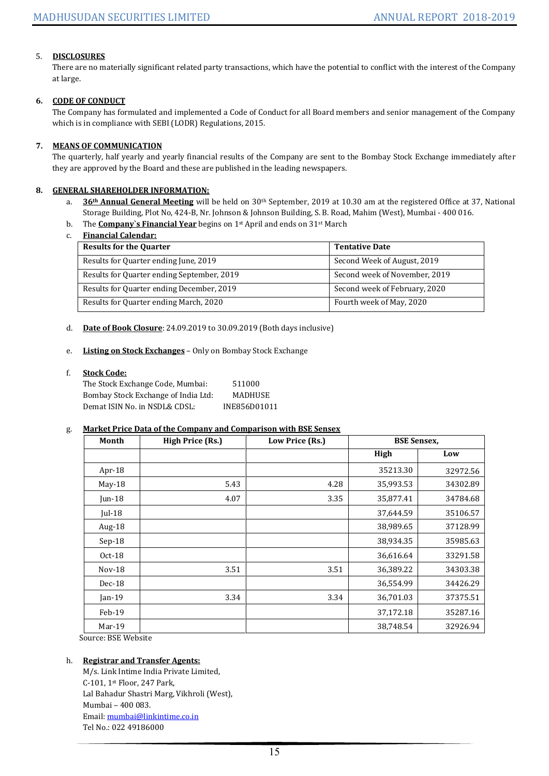## 5. **DISCLOSURES**

٦

There are no materially significant related party transactions, which have the potential to conflict with the interest of the Company at large.

## **6. CODE OF CONDUCT**

The Company has formulated and implemented a Code of Conduct for all Board members and senior management of the Company which is in compliance with SEBI (LODR) Regulations, 2015.

## **7. MEANS OF COMMUNICATION**

The quarterly, half yearly and yearly financial results of the Company are sent to the Bombay Stock Exchange immediately after they are approved by the Board and these are published in the leading newspapers.

#### **8. GENERAL SHAREHOLDER INFORMATION:**

- a. **36th Annual General Meeting** will be held on 30th September, 2019 at 10.30 am at the registered Office at 37, National Storage Building, Plot No, 424-B, Nr. Johnson & Johnson Building, S. B. Road, Mahim (West), Mumbai - 400 016.
- b. The **Company`s Financial Year** begins on 1st April and ends on 31st March

#### c. **Financial Calendar:**

| <b>Results for the Quarter</b>             | <b>Tentative Date</b>         |
|--------------------------------------------|-------------------------------|
| Results for Quarter ending June, 2019      | Second Week of August, 2019   |
| Results for Quarter ending September, 2019 | Second week of November, 2019 |
| Results for Quarter ending December, 2019  | Second week of February, 2020 |
| Results for Quarter ending March, 2020     | Fourth week of May, 2020      |

d. **Date of Book Closure**: 24.09.2019 to 30.09.2019 (Both days inclusive)

#### e. **Listing on Stock Exchanges** – Only on Bombay Stock Exchange

#### f. **Stock Code:**

| The Stock Exchange Code, Mumbai:    | 511000         |
|-------------------------------------|----------------|
| Bombay Stock Exchange of India Ltd: | <b>MADHUSE</b> |
| Demat ISIN No. in NSDL& CDSL:       | INE856D01011   |

#### g. **Market Price Data of the Company and Comparison with BSE Sensex**

| Month    | High Price (Rs.) | Low Price (Rs.) | <b>BSE Sensex,</b> |          |
|----------|------------------|-----------------|--------------------|----------|
|          |                  |                 | <b>High</b>        | Low      |
| Apr-18   |                  |                 | 35213.30           | 32972.56 |
| May-18   | 5.43             | 4.28            | 35,993.53          | 34302.89 |
| $Jun-18$ | 4.07             | 3.35            | 35,877.41          | 34784.68 |
| $ ul-18$ |                  |                 | 37,644.59          | 35106.57 |
| Aug-18   |                  |                 | 38,989.65          | 37128.99 |
| $Sep-18$ |                  |                 | 38,934.35          | 35985.63 |
| 0ct-18   |                  |                 | 36,616.64          | 33291.58 |
| $Nov-18$ | 3.51             | 3.51            | 36,389.22          | 34303.38 |
| $Dec-18$ |                  |                 | 36,554.99          | 34426.29 |
| $Jan-19$ | 3.34             | 3.34            | 36,701.03          | 37375.51 |
| $Feb-19$ |                  |                 | 37,172.18          | 35287.16 |
| $Mar-19$ |                  |                 | 38,748.54          | 32926.94 |

Source: BSE Website

## h. **Registrar and Transfer Agents:**

M/s. Link Intime India Private Limited, C-101, 1st Floor, 247 Park, Lal Bahadur Shastri Marg, Vikhroli (West), Mumbai – 400 083. Email[: mumbai@linkintime.co.in](mailto:mumbai@linkintime.co.in) Tel No.: 022 49186000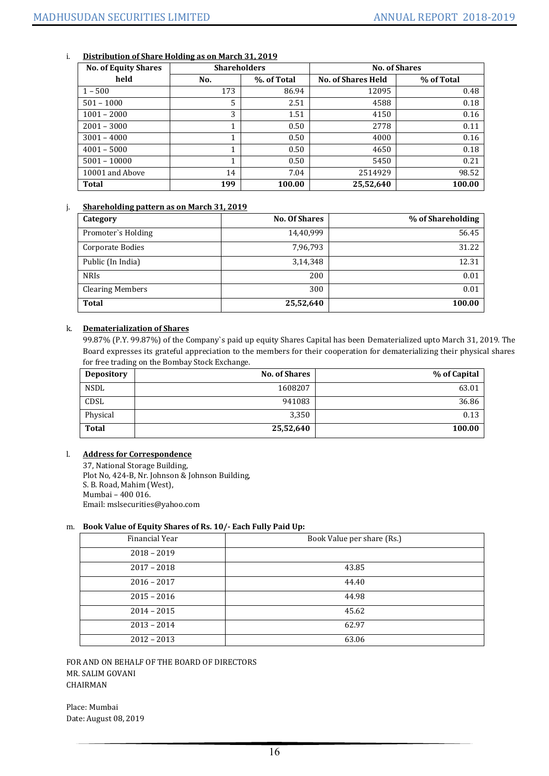## i. **Distribution of Share Holding as on March 31, 2019**

| <b>No. of Equity Shares</b> | <b>Shareholders</b> |             |                           | <b>No. of Shares</b> |
|-----------------------------|---------------------|-------------|---------------------------|----------------------|
| held                        | No.                 | %. of Total | <b>No. of Shares Held</b> | % of Total           |
| $1 - 500$                   | 173                 | 86.94       | 12095                     | 0.48                 |
| $501 - 1000$                | 5                   | 2.51        | 4588                      | 0.18                 |
| $1001 - 2000$               | 3                   | 1.51        | 4150                      | 0.16                 |
| $2001 - 3000$               |                     | 0.50        | 2778                      | 0.11                 |
| $3001 - 4000$               | 1                   | 0.50        | 4000                      | 0.16                 |
| $4001 - 5000$               | 1                   | 0.50        | 4650                      | 0.18                 |
| $5001 - 10000$              |                     | 0.50        | 5450                      | 0.21                 |
| 10001 and Above             | 14                  | 7.04        | 2514929                   | 98.52                |
| Total                       | 199                 | 100.00      | 25,52,640                 | 100.00               |

## j. **Shareholding pattern as on March 31, 2019**

| Category                | <b>No. Of Shares</b> | % of Shareholding |
|-------------------------|----------------------|-------------------|
| Promoter's Holding      | 14,40,999            | 56.45             |
| Corporate Bodies        | 7,96,793             | 31.22             |
| Public (In India)       | 3,14,348             | 12.31             |
| <b>NRIS</b>             | 200                  | 0.01              |
| <b>Clearing Members</b> | 300                  | 0.01              |
| <b>Total</b>            | 25,52,640            | 100.00            |

## k. **Dematerialization of Shares**

99.87% (P.Y. 99.87%) of the Company`s paid up equity Shares Capital has been Dematerialized upto March 31, 2019. The Board expresses its grateful appreciation to the members for their cooperation for dematerializing their physical shares for free trading on the Bombay Stock Exchange.

| <b>Depository</b> | <b>No. of Shares</b> | % of Capital |
|-------------------|----------------------|--------------|
| NSDL              | 1608207              | 63.01        |
| CDSL              | 941083               | 36.86        |
| Physical          | 3,350                | 0.13         |
| <b>Total</b>      | 25,52,640            | 100.00       |

## l. **Address for Correspondence**

37, National Storage Building, Plot No, 424-B, Nr. Johnson & Johnson Building, S. B. Road, Mahim (West), Mumbai – 400 016. Email[: mslsecurities@yahoo.com](mailto:mslsecurities@yahoo.com) 

### m. **Book Value of Equity Shares of Rs. 10/- Each Fully Paid Up:**

| Financial Year | Book Value per share (Rs.) |
|----------------|----------------------------|
| $2018 - 2019$  |                            |
| $2017 - 2018$  | 43.85                      |
| $2016 - 2017$  | 44.40                      |
| $2015 - 2016$  | 44.98                      |
| $2014 - 2015$  | 45.62                      |
| $2013 - 2014$  | 62.97                      |
| $2012 - 2013$  | 63.06                      |

#### FOR AND ON BEHALF OF THE BOARD OF DIRECTORS MR. SALIM GOVANI CHAIRMAN

 Place: Mumbai Date: August 08, 2019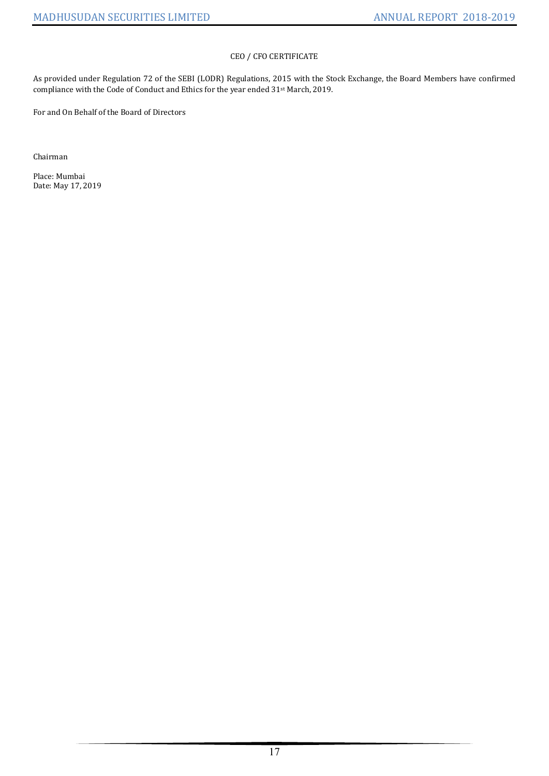## CEO / CFO CERTIFICATE

As provided under Regulation 72 of the SEBI (LODR) Regulations, 2015 with the Stock Exchange, the Board Members have confirmed compliance with the Code of Conduct and Ethics for the year ended 31st March, 2019.

For and On Behalf of the Board of Directors

Chairman

٦

Place: Mumbai Date: May 17, 2019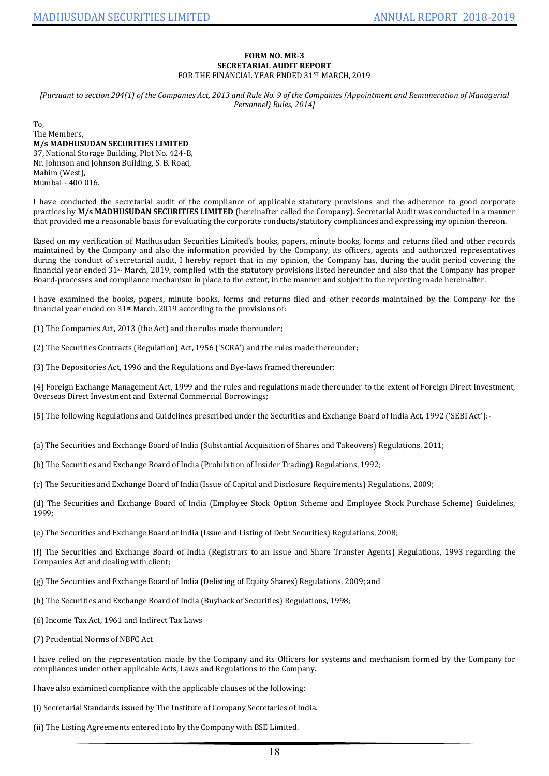## **FORM NO. MR-3 SECRETARIAL AUDIT REPORT**

FOR THE FINANCIAL YEAR ENDED 31ST MARCH, 2019

*[Pursuant to section 204(1) of the Companies Act, 2013 and Rule No. 9 of the Companies (Appointment and Remuneration of Managerial Personnel) Rules, 2014]* 

To, The Members, **M/s MADHUSUDAN SECURITIES LIMITED**  37, National Storage Building, Plot No. 424-B, Nr. Johnson and Johnson Building, S. B. Road, Mahim (West), Mumbai - 400 016.

I have conducted the secretarial audit of the compliance of applicable statutory provisions and the adherence to good corporate practices by **M/s MADHUSUDAN SECURITIES LIMITED** (hereinafter called the Company). Secretarial Audit was conducted in a manner that provided me a reasonable basis for evaluating the corporate conducts/statutory compliances and expressing my opinion thereon.

Based on my verification of Madhusudan Securities Limited's books, papers, minute books, forms and returns filed and other records maintained by the Company and also the information provided by the Company, its officers, agents and authorized representatives during the conduct of secretarial audit, I hereby report that in my opinion, the Company has, during the audit period covering the financial year ended 31st March, 2019, complied with the statutory provisions listed hereunder and also that the Company has proper Board-processes and compliance mechanism in place to the extent, in the manner and subject to the reporting made hereinafter.

I have examined the books, papers, minute books, forms and returns filed and other records maintained by the Company for the financial year ended on 31st March, 2019 according to the provisions of:

(1) The Companies Act, 2013 (the Act) and the rules made thereunder;

(2) The Securities Contracts (Regulation) Act, 1956 ('SCRA') and the rules made thereunder;

(3) The Depositories Act, 1996 and the Regulations and Bye-laws framed thereunder;

(4) Foreign Exchange Management Act, 1999 and the rules and regulations made thereunder to the extent of Foreign Direct Investment, Overseas Direct Investment and External Commercial Borrowings;

(5) The following Regulations and Guidelines prescribed under the Securities and Exchange Board of India Act, 1992 ('SEBI Act'):-

(a) The Securities and Exchange Board of India (Substantial Acquisition of Shares and Takeovers) Regulations, 2011;

(b) The Securities and Exchange Board of India (Prohibition of Insider Trading) Regulations, 1992;

(c) The Securities and Exchange Board of India (Issue of Capital and Disclosure Requirements) Regulations, 2009;

(d) The Securities and Exchange Board of India (Employee Stock Option Scheme and Employee Stock Purchase Scheme) Guidelines, 1999;

(e) The Securities and Exchange Board of India (Issue and Listing of Debt Securities) Regulations, 2008;

(f) The Securities and Exchange Board of India (Registrars to an Issue and Share Transfer Agents) Regulations, 1993 regarding the Companies Act and dealing with client;

(g) The Securities and Exchange Board of India (Delisting of Equity Shares) Regulations, 2009; and

(h) The Securities and Exchange Board of India (Buyback of Securities) Regulations, 1998;

(6) Income Tax Act, 1961 and Indirect Tax Laws

(7) Prudential Norms of NBFC Act

I have relied on the representation made by the Company and its Officers for systems and mechanism formed by the Company for compliances under other applicable Acts, Laws and Regulations to the Company.

I have also examined compliance with the applicable clauses of the following:

(i) Secretarial Standards issued by The Institute of Company Secretaries of India.

(ii) The Listing Agreements entered into by the Company with BSE Limited.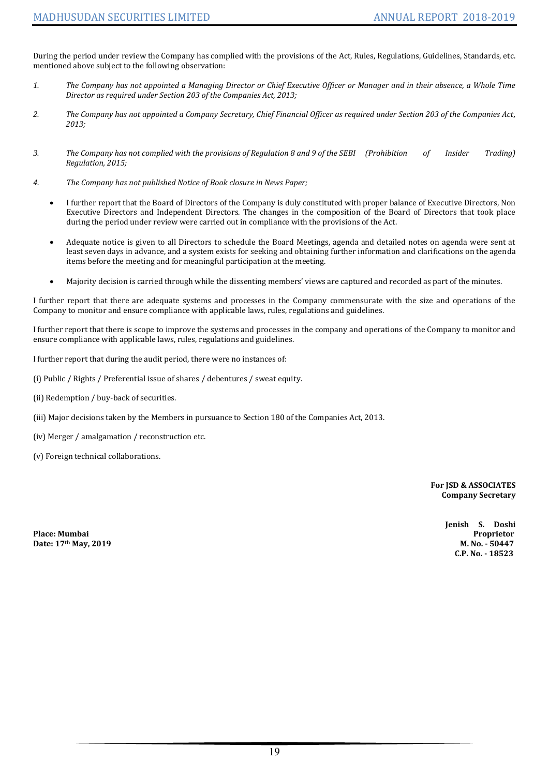During the period under review the Company has complied with the provisions of the Act, Rules, Regulations, Guidelines, Standards, etc. mentioned above subject to the following observation:

- *1. The Company has not appointed a Managing Director or Chief Executive Officer or Manager and in their absence, a Whole Time Director as required under Section 203 of the Companies Act, 2013;*
- *2. The Company has not appointed a Company Secretary, Chief Financial Officer as required under Section 203 of the Companies Act, 2013;*
- *3. The Company has not complied with the provisions of Regulation 8 and 9 of the SEBI (Prohibition of Insider Trading) Regulation, 2015;*
- *4. The Company has not published Notice of Book closure in News Paper;* 
	- I further report that the Board of Directors of the Company is duly constituted with proper balance of Executive Directors, Non Executive Directors and Independent Directors. The changes in the composition of the Board of Directors that took place during the period under review were carried out in compliance with the provisions of the Act.
	- Adequate notice is given to all Directors to schedule the Board Meetings, agenda and detailed notes on agenda were sent at least seven days in advance, and a system exists for seeking and obtaining further information and clarifications on the agenda items before the meeting and for meaningful participation at the meeting.
	- Majority decision is carried through while the dissenting members' views are captured and recorded as part of the minutes.

I further report that there are adequate systems and processes in the Company commensurate with the size and operations of the Company to monitor and ensure compliance with applicable laws, rules, regulations and guidelines.

I further report that there is scope to improve the systems and processes in the company and operations of the Company to monitor and ensure compliance with applicable laws, rules, regulations and guidelines.

I further report that during the audit period, there were no instances of:

(i) Public / Rights / Preferential issue of shares / debentures / sweat equity.

- (ii) Redemption / buy-back of securities.
- (iii) Major decisions taken by the Members in pursuance to Section 180 of the Companies Act, 2013.
- (iv) Merger / amalgamation / reconstruction etc.
- (v) Foreign technical collaborations.

**For JSD & ASSOCIATES Company Secretary** 

**Place: Mumbai Proprietor Date: 17th May, 2019 M. No. - 50447** 

 **Jenish S. Doshi C.P. No. - 18523**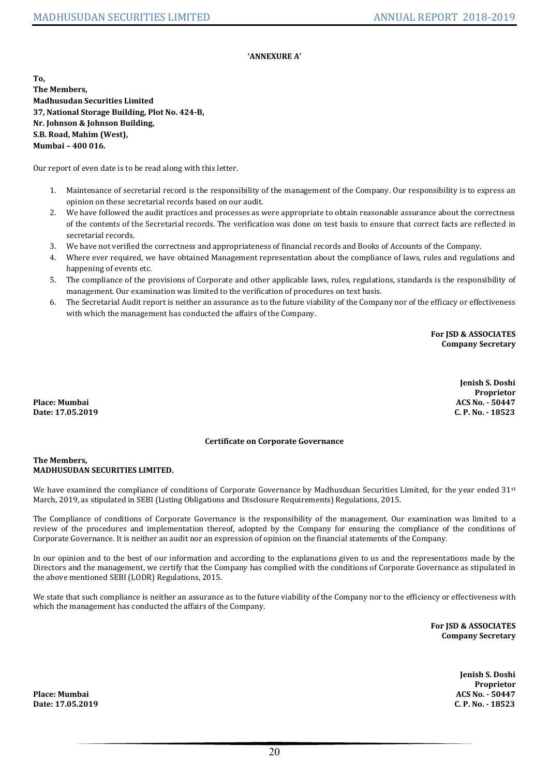## **'ANNEXURE A'**

**To, The Members, Madhusudan Securities Limited 37, National Storage Building, Plot No. 424-B, Nr. Johnson & Johnson Building, S.B. Road, Mahim (West), Mumbai – 400 016.**

Our report of even date is to be read along with this letter.

- 1. Maintenance of secretarial record is the responsibility of the management of the Company. Our responsibility is to express an opinion on these secretarial records based on our audit.
- 2. We have followed the audit practices and processes as were appropriate to obtain reasonable assurance about the correctness of the contents of the Secretarial records. The verification was done on test basis to ensure that correct facts are reflected in secretarial records.
- 3. We have not verified the correctness and appropriateness of financial records and Books of Accounts of the Company.
- 4. Where ever required, we have obtained Management representation about the compliance of laws, rules and regulations and happening of events etc.
- 5. The compliance of the provisions of Corporate and other applicable laws, rules, regulations, standards is the responsibility of management. Our examination was limited to the verification of procedures on text basis.
- 6. The Secretarial Audit report is neither an assurance as to the future viability of the Company nor of the efficacy or effectiveness with which the management has conducted the affairs of the Company.

 **Proprietor** 

 **For JSD & ASSOCIATES Company Secretary** 

 **Jenish S. Doshi** 

**Place: Mumbai ACS No. - 50447 Date: 17.05.2019 C. P. No. - 18523**

### **Certificate on Corporate Governance**

#### **The Members, MADHUSUDAN SECURITIES LIMITED.**

We have examined the compliance of conditions of Corporate Governance by Madhusduan Securities Limited, for the year ended 31<sup>st</sup> March, 2019, as stipulated in SEBI (Listing Obligations and Disclosure Requirements) Regulations, 2015.

The Compliance of conditions of Corporate Governance is the responsibility of the management. Our examination was limited to a review of the procedures and implementation thereof, adopted by the Company for ensuring the compliance of the conditions of Corporate Governance. It is neither an audit nor an expression of opinion on the financial statements of the Company.

In our opinion and to the best of our information and according to the explanations given to us and the representations made by the Directors and the management, we certify that the Company has complied with the conditions of Corporate Governance as stipulated in the above mentioned SEBI (LODR) Regulations, 2015.

We state that such compliance is neither an assurance as to the future viability of the Company nor to the efficiency or effectiveness with which the management has conducted the affairs of the Company.

> **For JSD & ASSOCIATES Company Secretary**

 **Jenish S. Doshi Proprietor Place: Mumbai ACS No. - 50447**

Date: 17.05.2019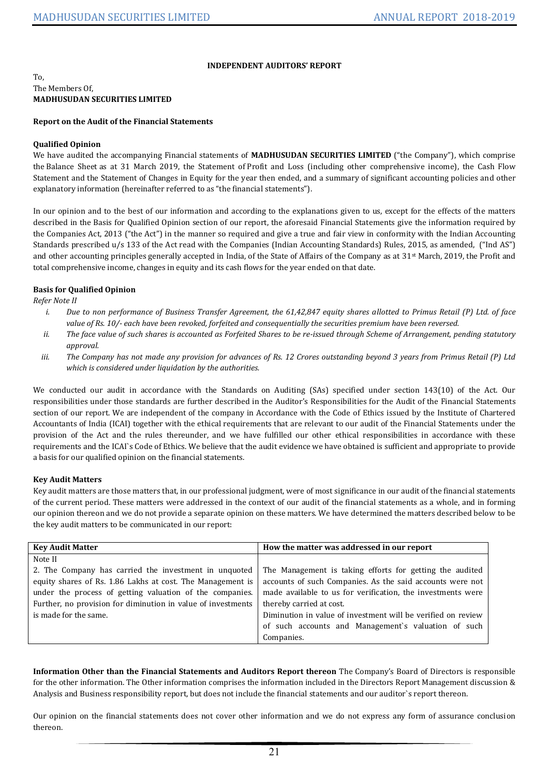#### **INDEPENDENT AUDITORS' REPORT**

To, The Members Of, **MADHUSUDAN SECURITIES LIMITED** 

#### **Report on the Audit of the Financial Statements**

#### **Qualified Opinion**

٦

We have audited the accompanying Financial statements of **MADHUSUDAN SECURITIES LIMITED** ("the Company"), which comprise the Balance Sheet as at 31 March 2019, the Statement of Profit and Loss (including other comprehensive income), the Cash Flow Statement and the Statement of Changes in Equity for the year then ended, and a summary of significant accounting policies and other explanatory information (hereinafter referred to as "the financial statements").

In our opinion and to the best of our information and according to the explanations given to us, except for the effects of the matters described in the Basis for Qualified Opinion section of our report, the aforesaid Financial Statements give the information required by the Companies Act, 2013 ("the Act") in the manner so required and give a true and fair view in conformity with the Indian Accounting Standards prescribed u/s 133 of the Act read with the Companies (Indian Accounting Standards) Rules, 2015, as amended, ("Ind AS") and other accounting principles generally accepted in India, of the State of Affairs of the Company as at 31<sup>st</sup> March, 2019, the Profit and total comprehensive income, changes in equity and its cash flows for the year ended on that date.

#### **Basis for Qualified Opinion**

*Refer Note II* 

- *i. Due to non performance of Business Transfer Agreement, the 61,42,847 equity shares allotted to Primus Retail (P) Ltd. of face value of Rs. 10/- each have been revoked, forfeited and consequentially the securities premium have been reversed.*
- *ii. The face value of such shares is accounted as Forfeited Shares to be re-issued through Scheme of Arrangement, pending statutory approval.*
- *iii. The Company has not made any provision for advances of Rs. 12 Crores outstanding beyond 3 years from Primus Retail (P) Ltd which is considered under liquidation by the authorities.*

We conducted our audit in accordance with the Standards on Auditing (SAs) specified under section 143(10) of the Act. Our responsibilities under those standards are further described in the Auditor's Responsibilities for the Audit of the Financial Statements section of our report. We are independent of the company in Accordance with the Code of Ethics issued by the Institute of Chartered Accountants of India (ICAI) together with the ethical requirements that are relevant to our audit of the Financial Statements under the provision of the Act and the rules thereunder, and we have fulfilled our other ethical responsibilities in accordance with these requirements and the ICAI`s Code of Ethics. We believe that the audit evidence we have obtained is sufficient and appropriate to provide a basis for our qualified opinion on the financial statements.

#### **Key Audit Matters**

Key audit matters are those matters that, in our professional judgment, were of most significance in our audit of the financial statements of the current period. These matters were addressed in the context of our audit of the financial statements as a whole, and in forming our opinion thereon and we do not provide a separate opinion on these matters. We have determined the matters described below to be the key audit matters to be communicated in our report:

| <b>Key Audit Matter</b>                                      | How the matter was addressed in our report                   |
|--------------------------------------------------------------|--------------------------------------------------------------|
| Note II                                                      |                                                              |
| 2. The Company has carried the investment in unquoted        | The Management is taking efforts for getting the audited     |
| equity shares of Rs. 1.86 Lakhs at cost. The Management is   | accounts of such Companies. As the said accounts were not    |
| under the process of getting valuation of the companies.     | made available to us for verification, the investments were  |
| Further, no provision for diminution in value of investments | thereby carried at cost.                                     |
| is made for the same.                                        | Diminution in value of investment will be verified on review |
|                                                              | of such accounts and Management's valuation of such          |
|                                                              | Companies.                                                   |

**Information Other than the Financial Statements and Auditors Report thereon** The Company's Board of Directors is responsible for the other information. The Other information comprises the information included in the Directors Report Management discussion & Analysis and Business responsibility report, but does not include the financial statements and our auditor`s report thereon.

Our opinion on the financial statements does not cover other information and we do not express any form of assurance conclusion thereon.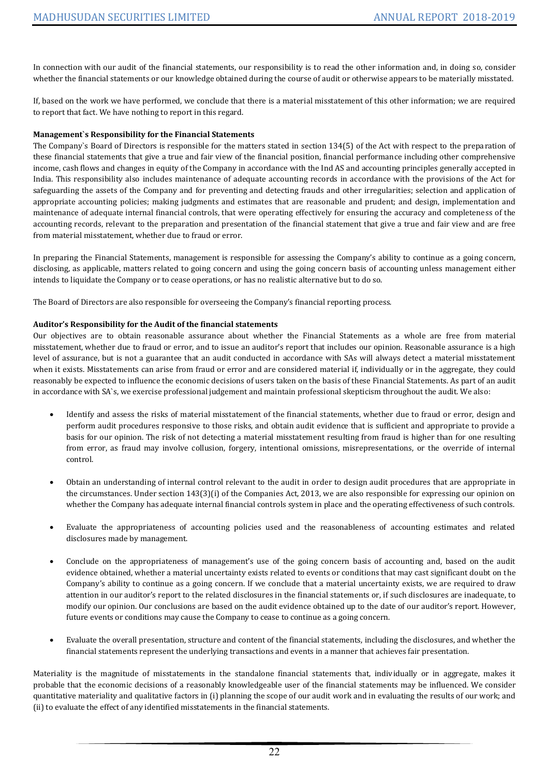In connection with our audit of the financial statements, our responsibility is to read the other information and, in doing so, consider whether the financial statements or our knowledge obtained during the course of audit or otherwise appears to be materially misstated.

If, based on the work we have performed, we conclude that there is a material misstatement of this other information; we are required to report that fact. We have nothing to report in this regard.

#### **Management`s Responsibility for the Financial Statements**

The Company`s Board of Directors is responsible for the matters stated in section 134(5) of the Act with respect to the preparation of these financial statements that give a true and fair view of the financial position, financial performance including other comprehensive income, cash flows and changes in equity of the Company in accordance with the Ind AS and accounting principles generally accepted in India. This responsibility also includes maintenance of adequate accounting records in accordance with the provisions of the Act for safeguarding the assets of the Company and for preventing and detecting frauds and other irregularities; selection and application of appropriate accounting policies; making judgments and estimates that are reasonable and prudent; and design, implementation and maintenance of adequate internal financial controls, that were operating effectively for ensuring the accuracy and completeness of the accounting records, relevant to the preparation and presentation of the financial statement that give a true and fair view and are free from material misstatement, whether due to fraud or error.

In preparing the Financial Statements, management is responsible for assessing the Company's ability to continue as a going concern, disclosing, as applicable, matters related to going concern and using the going concern basis of accounting unless management either intends to liquidate the Company or to cease operations, or has no realistic alternative but to do so.

The Board of Directors are also responsible for overseeing the Company's financial reporting process.

#### **Auditor's Responsibility for the Audit of the financial statements**

Our objectives are to obtain reasonable assurance about whether the Financial Statements as a whole are free from material misstatement, whether due to fraud or error, and to issue an auditor's report that includes our opinion. Reasonable assurance is a high level of assurance, but is not a guarantee that an audit conducted in accordance with SAs will always detect a material misstatement when it exists. Misstatements can arise from fraud or error and are considered material if, individually or in the aggregate, they could reasonably be expected to influence the economic decisions of users taken on the basis of these Financial Statements. As part of an audit in accordance with SA`s, we exercise professional judgement and maintain professional skepticism throughout the audit. We also:

- Identify and assess the risks of material misstatement of the financial statements, whether due to fraud or error, design and perform audit procedures responsive to those risks, and obtain audit evidence that is sufficient and appropriate to provide a basis for our opinion. The risk of not detecting a material misstatement resulting from fraud is higher than for one resulting from error, as fraud may involve collusion, forgery, intentional omissions, misrepresentations, or the override of internal control.
- Obtain an understanding of internal control relevant to the audit in order to design audit procedures that are appropriate in the circumstances. Under section 143(3)(i) of the Companies Act, 2013, we are also responsible for expressing our opinion on whether the Company has adequate internal financial controls system in place and the operating effectiveness of such controls.
- Evaluate the appropriateness of accounting policies used and the reasonableness of accounting estimates and related disclosures made by management.
- Conclude on the appropriateness of management's use of the going concern basis of accounting and, based on the audit evidence obtained, whether a material uncertainty exists related to events or conditions that may cast significant doubt on the Company's ability to continue as a going concern. If we conclude that a material uncertainty exists, we are required to draw attention in our auditor's report to the related disclosures in the financial statements or, if such disclosures are inadequate, to modify our opinion. Our conclusions are based on the audit evidence obtained up to the date of our auditor's report. However, future events or conditions may cause the Company to cease to continue as a going concern.
- Evaluate the overall presentation, structure and content of the financial statements, including the disclosures, and whether the financial statements represent the underlying transactions and events in a manner that achieves fair presentation.

Materiality is the magnitude of misstatements in the standalone financial statements that, individually or in aggregate, makes it probable that the economic decisions of a reasonably knowledgeable user of the financial statements may be influenced. We consider quantitative materiality and qualitative factors in (i) planning the scope of our audit work and in evaluating the results of our work; and (ii) to evaluate the effect of any identified misstatements in the financial statements.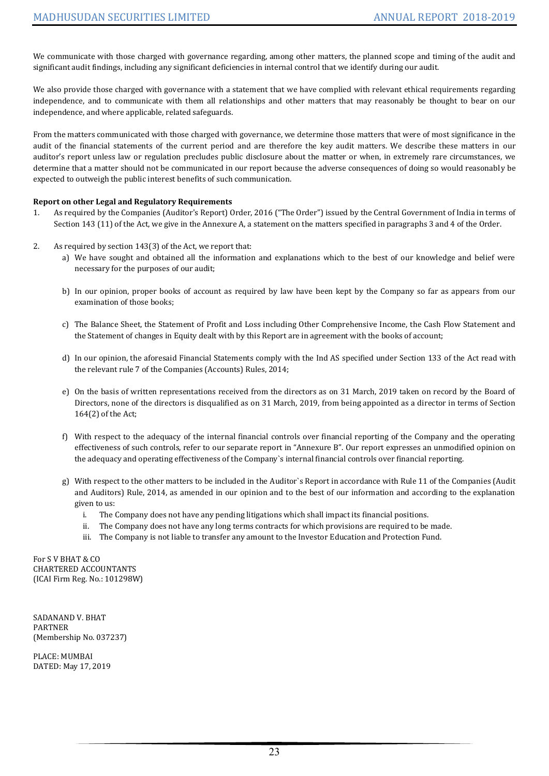We communicate with those charged with governance regarding, among other matters, the planned scope and timing of the audit and significant audit findings, including any significant deficiencies in internal control that we identify during our audit.

We also provide those charged with governance with a statement that we have complied with relevant ethical requirements regarding independence, and to communicate with them all relationships and other matters that may reasonably be thought to bear on our independence, and where applicable, related safeguards.

From the matters communicated with those charged with governance, we determine those matters that were of most significance in the audit of the financial statements of the current period and are therefore the key audit matters. We describe these matters in our auditor's report unless law or regulation precludes public disclosure about the matter or when, in extremely rare circumstances, we determine that a matter should not be communicated in our report because the adverse consequences of doing so would reasonably be expected to outweigh the public interest benefits of such communication.

### **Report on other Legal and Regulatory Requirements**

- 1. As required by the Companies (Auditor's Report) Order, 2016 ("The Order") issued by the Central Government of India in terms of Section 143 (11) of the Act, we give in the Annexure A, a statement on the matters specified in paragraphs 3 and 4 of the Order.
- 2. As required by section 143(3) of the Act, we report that:
	- a) We have sought and obtained all the information and explanations which to the best of our knowledge and belief were necessary for the purposes of our audit;
	- b) In our opinion, proper books of account as required by law have been kept by the Company so far as appears from our examination of those books;
	- c) The Balance Sheet, the Statement of Profit and Loss including Other Comprehensive Income, the Cash Flow Statement and the Statement of changes in Equity dealt with by this Report are in agreement with the books of account;
	- d) In our opinion, the aforesaid Financial Statements comply with the Ind AS specified under Section 133 of the Act read with the relevant rule 7 of the Companies (Accounts) Rules, 2014;
	- e) On the basis of written representations received from the directors as on 31 March, 2019 taken on record by the Board of Directors, none of the directors is disqualified as on 31 March, 2019, from being appointed as a director in terms of Section 164(2) of the Act;
	- f) With respect to the adequacy of the internal financial controls over financial reporting of the Company and the operating effectiveness of such controls, refer to our separate report in "Annexure B". Our report expresses an unmodified opinion on the adequacy and operating effectiveness of the Company`s internal financial controls over financial reporting.
	- g) With respect to the other matters to be included in the Auditor`s Report in accordance with Rule 11 of the Companies (Audit and Auditors) Rule, 2014, as amended in our opinion and to the best of our information and according to the explanation given to us:
		- i. The Company does not have any pending litigations which shall impact its financial positions.
		- ii. The Company does not have any long terms contracts for which provisions are required to be made.
		- iii. The Company is not liable to transfer any amount to the Investor Education and Protection Fund.

For S V BHAT & CO CHARTERED ACCOUNTANTS (ICAI Firm Reg. No.: 101298W)

SADANAND V. BHAT PARTNER (Membership No. 037237)

PLACE: MUMBAI DATED: May 17, 2019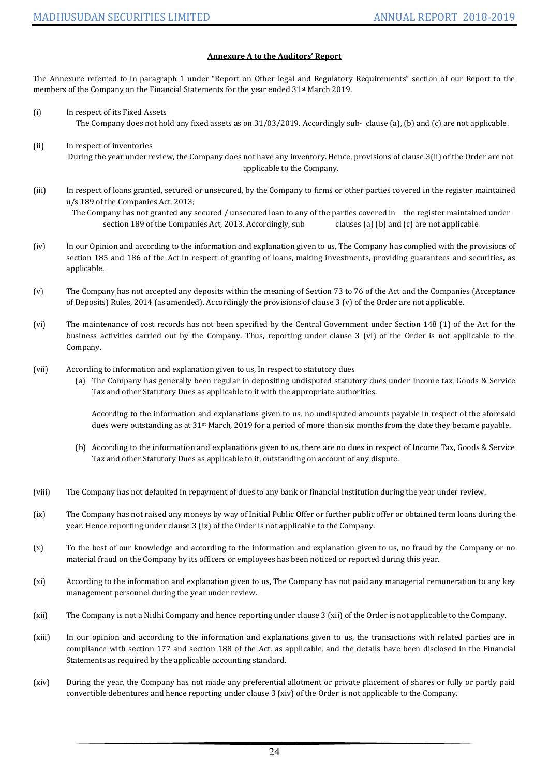## **Annexure A to the Auditors' Report**

The Annexure referred to in paragraph 1 under "Report on Other legal and Regulatory Requirements" section of our Report to the members of the Company on the Financial Statements for the year ended 31st March 2019.

- (i) In respect of its Fixed Assets The Company does not hold any fixed assets as on 31/03/2019. Accordingly sub- clause (a), (b) and (c) are not applicable.
- (ii) In respect of inventories During the year under review, the Company does not have any inventory. Hence, provisions of clause 3(ii) of the Order are not applicable to the Company.
- (iii) In respect of loans granted, secured or unsecured, by the Company to firms or other parties covered in the register maintained u/s 189 of the Companies Act, 2013;

The Company has not granted any secured / unsecured loan to any of the parties covered in the register maintained under section 189 of the Companies Act, 2013. Accordingly, sub clauses (a) (b) and (c) are not applicable

- (iv) In our Opinion and according to the information and explanation given to us, The Company has complied with the provisions of section 185 and 186 of the Act in respect of granting of loans, making investments, providing guarantees and securities, as applicable.
- (v) The Company has not accepted any deposits within the meaning of Section 73 to 76 of the Act and the Companies (Acceptance of Deposits) Rules, 2014 (as amended). Accordingly the provisions of clause 3 (v) of the Order are not applicable.
- (vi) The maintenance of cost records has not been specified by the Central Government under Section 148 (1) of the Act for the business activities carried out by the Company. Thus, reporting under clause 3 (vi) of the Order is not applicable to the Company.
- (vii) According to information and explanation given to us, In respect to statutory dues
	- (a) The Company has generally been regular in depositing undisputed statutory dues under Income tax, Goods & Service Tax and other Statutory Dues as applicable to it with the appropriate authorities.

According to the information and explanations given to us, no undisputed amounts payable in respect of the aforesaid dues were outstanding as at 31st March, 2019 for a period of more than six months from the date they became payable.

- (b) According to the information and explanations given to us, there are no dues in respect of Income Tax, Goods & Service Tax and other Statutory Dues as applicable to it, outstanding on account of any dispute.
- (viii) The Company has not defaulted in repayment of dues to any bank or financial institution during the year under review.
- (ix) The Company has not raised any moneys by way of Initial Public Offer or further public offer or obtained term loans during the year. Hence reporting under clause 3 (ix) of the Order is not applicable to the Company.
- (x) To the best of our knowledge and according to the information and explanation given to us, no fraud by the Company or no material fraud on the Company by its officers or employees has been noticed or reported during this year.
- (xi) According to the information and explanation given to us, The Company has not paid any managerial remuneration to any key management personnel during the year under review.
- (xii) The Company is not a Nidhi Company and hence reporting under clause 3 (xii) of the Order is not applicable to the Company.
- (xiii) In our opinion and according to the information and explanations given to us, the transactions with related parties are in compliance with section 177 and section 188 of the Act, as applicable, and the details have been disclosed in the Financial Statements as required by the applicable accounting standard.
- (xiv) During the year, the Company has not made any preferential allotment or private placement of shares or fully or partly paid convertible debentures and hence reporting under clause 3 (xiv) of the Order is not applicable to the Company.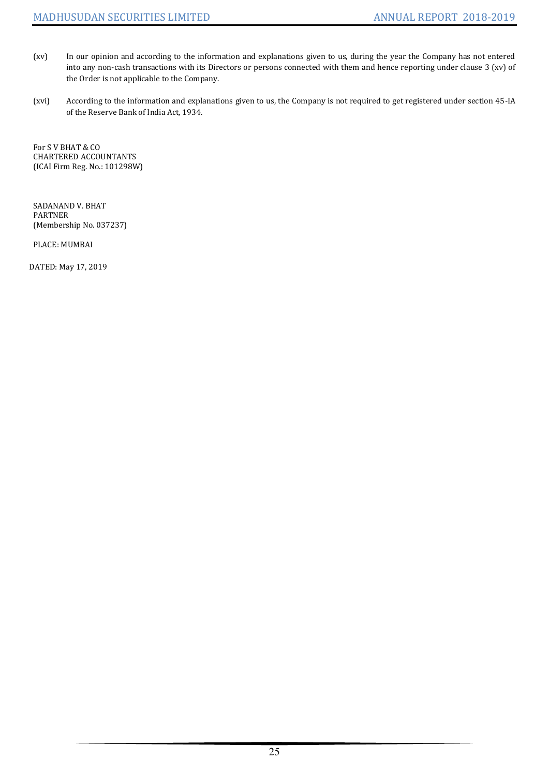- (xv) In our opinion and according to the information and explanations given to us, during the year the Company has not entered into any non-cash transactions with its Directors or persons connected with them and hence reporting under clause 3 (xv) of the Order is not applicable to the Company.
- (xvi) According to the information and explanations given to us, the Company is not required to get registered under section 45-IA of the Reserve Bank of India Act, 1934.

For S V BHAT & CO CHARTERED ACCOUNTANTS (ICAI Firm Reg. No.: 101298W)

SADANAND V. BHAT PARTNER (Membership No. 037237)

PLACE: MUMBAI

٦

DATED: May 17, 2019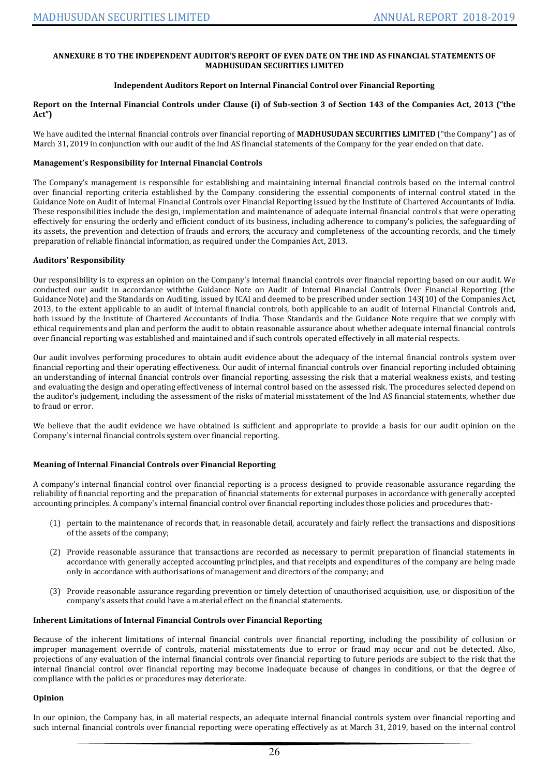#### **ANNEXURE B TO THE INDEPENDENT AUDITOR'S REPORT OF EVEN DATE ON THE IND AS FINANCIAL STATEMENTS OF MADHUSUDAN SECURITIES LIMITED**

#### **Independent Auditors Report on Internal Financial Control over Financial Reporting**

#### **Report on the Internal Financial Controls under Clause (i) of Sub-section 3 of Section 143 of the Companies Act, 2013 ("the Act")**

We have audited the internal financial controls over financial reporting of **MADHUSUDAN SECURITIES LIMITED** ("the Company") as of March 31, 2019 in conjunction with our audit of the Ind AS financial statements of the Company for the year ended on that date.

#### **Management's Responsibility for Internal Financial Controls**

The Company's management is responsible for establishing and maintaining internal financial controls based on the internal control over financial reporting criteria established by the Company considering the essential components of internal control stated in the Guidance Note on Audit of Internal Financial Controls over Financial Reporting issued by the Institute of Chartered Accountants of India. These responsibilities include the design, implementation and maintenance of adequate internal financial controls that were operating effectively for ensuring the orderly and efficient conduct of its business, including adherence to company's policies, the safeguarding of its assets, the prevention and detection of frauds and errors, the accuracy and completeness of the accounting records, and the timely preparation of reliable financial information, as required under the Companies Act, 2013.

#### **Auditors' Responsibility**

Our responsibility is to express an opinion on the Company's internal financial controls over financial reporting based on our audit. We conducted our audit in accordance withthe Guidance Note on Audit of Internal Financial Controls Over Financial Reporting (the Guidance Note) and the Standards on Auditing, issued by ICAI and deemed to be prescribed under section 143(10) of the Companies Act, 2013, to the extent applicable to an audit of internal financial controls, both applicable to an audit of Internal Financial Controls and, both issued by the Institute of Chartered Accountants of India. Those Standards and the Guidance Note require that we comply with ethical requirements and plan and perform the audit to obtain reasonable assurance about whether adequate internal financial controls over financial reporting was established and maintained and if such controls operated effectively in all material respects.

Our audit involves performing procedures to obtain audit evidence about the adequacy of the internal financial controls system over financial reporting and their operating effectiveness. Our audit of internal financial controls over financial reporting included obtaining an understanding of internal financial controls over financial reporting, assessing the risk that a material weakness exists, and testing and evaluating the design and operating effectiveness of internal control based on the assessed risk. The procedures selected depend on the auditor's judgement, including the assessment of the risks of material misstatement of the Ind AS financial statements, whether due to fraud or error.

We believe that the audit evidence we have obtained is sufficient and appropriate to provide a basis for our audit opinion on the Company's internal financial controls system over financial reporting.

#### **Meaning of Internal Financial Controls over Financial Reporting**

A company's internal financial control over financial reporting is a process designed to provide reasonable assurance regarding the reliability of financial reporting and the preparation of financial statements for external purposes in accordance with generally accepted accounting principles. A company's internal financial control over financial reporting includes those policies and procedures that:-

- (1) pertain to the maintenance of records that, in reasonable detail, accurately and fairly reflect the transactions and dispositions of the assets of the company;
- (2) Provide reasonable assurance that transactions are recorded as necessary to permit preparation of financial statements in accordance with generally accepted accounting principles, and that receipts and expenditures of the company are being made only in accordance with authorisations of management and directors of the company; and
- (3) Provide reasonable assurance regarding prevention or timely detection of unauthorised acquisition, use, or disposition of the company's assets that could have a material effect on the financial statements.

#### **Inherent Limitations of Internal Financial Controls over Financial Reporting**

Because of the inherent limitations of internal financial controls over financial reporting, including the possibility of collusion or improper management override of controls, material misstatements due to error or fraud may occur and not be detected. Also, projections of any evaluation of the internal financial controls over financial reporting to future periods are subject to the risk that the internal financial control over financial reporting may become inadequate because of changes in conditions, or that the degree of compliance with the policies or procedures may deteriorate.

#### **Opinion**

In our opinion, the Company has, in all material respects, an adequate internal financial controls system over financial reporting and such internal financial controls over financial reporting were operating effectively as at March 31, 2019, based on the internal control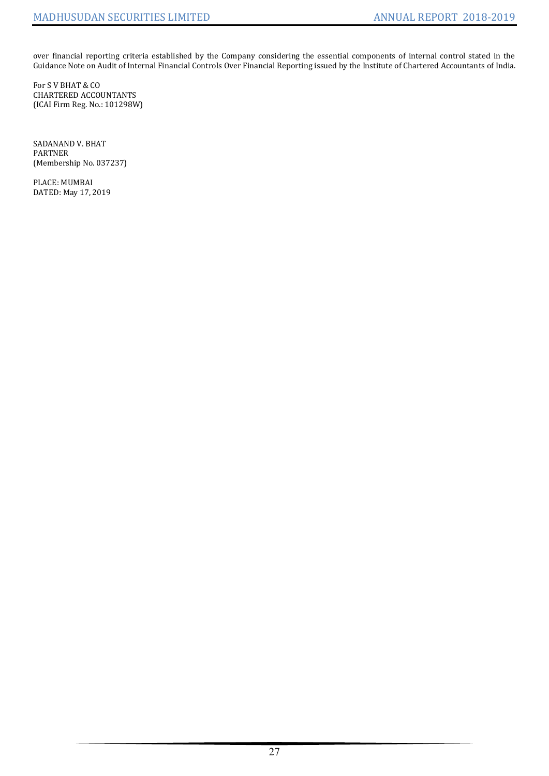over financial reporting criteria established by the Company considering the essential components of internal control stated in the Guidance Note on Audit of Internal Financial Controls Over Financial Reporting issued by the Institute of Chartered Accountants of India.

For S V BHAT & CO CHARTERED ACCOUNTANTS (ICAI Firm Reg. No.: 101298W)

٦

SADANAND V. BHAT PARTNER (Membership No. 037237)

PLACE: MUMBAI DATED: May 17, 2019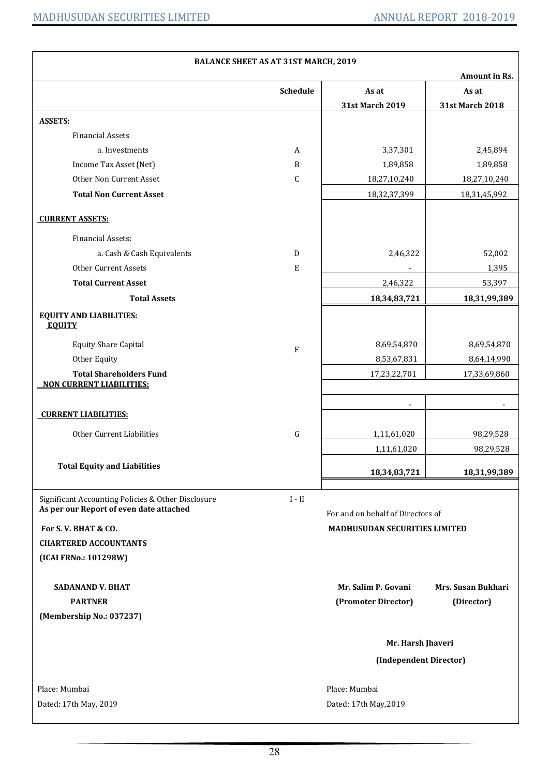| <b>BALANCE SHEET AS AT 31ST MARCH, 2019</b>                                                   |                 |                                      |                    |  |
|-----------------------------------------------------------------------------------------------|-----------------|--------------------------------------|--------------------|--|
|                                                                                               |                 |                                      | Amount in Rs.      |  |
|                                                                                               | <b>Schedule</b> | As at                                | As at              |  |
|                                                                                               |                 | 31st March 2019                      | 31st March 2018    |  |
| <b>ASSETS:</b>                                                                                |                 |                                      |                    |  |
| <b>Financial Assets</b>                                                                       |                 |                                      |                    |  |
| a. Investments                                                                                | A               | 3,37,301                             | 2,45,894           |  |
| Income Tax Asset (Net)                                                                        | B               | 1,89,858                             | 1,89,858           |  |
| Other Non Current Asset                                                                       | C               | 18,27,10,240                         | 18,27,10,240       |  |
| <b>Total Non Current Asset</b>                                                                |                 | 18,32,37,399                         | 18,31,45,992       |  |
| <b>CURRENT ASSETS:</b>                                                                        |                 |                                      |                    |  |
| <b>Financial Assets:</b>                                                                      |                 |                                      |                    |  |
| a. Cash & Cash Equivalents                                                                    | D               | 2,46,322                             | 52,002             |  |
| Other Current Assets                                                                          | E               |                                      | 1,395              |  |
| <b>Total Current Asset</b>                                                                    |                 | 2,46,322                             | 53,397             |  |
| <b>Total Assets</b>                                                                           |                 | 18,34,83,721                         | 18,31,99,389       |  |
| <b>EQUITY AND LIABILITIES:</b><br><b>EQUITY</b>                                               |                 |                                      |                    |  |
| <b>Equity Share Capital</b>                                                                   |                 | 8,69,54,870                          | 8,69,54,870        |  |
| Other Equity                                                                                  | $\rm F$         | 8,53,67,831                          | 8,64,14,990        |  |
| <b>Total Shareholders Fund</b>                                                                |                 | 17,23,22,701                         | 17,33,69,860       |  |
| <b>NON CURRENT LIABILITIES:</b>                                                               |                 |                                      |                    |  |
|                                                                                               |                 | $\overline{\phantom{a}}$             |                    |  |
| <b>CURRENT LIABILITIES:</b>                                                                   |                 |                                      |                    |  |
| Other Current Liabilities                                                                     | ${\bf G}$       | 1,11,61,020                          | 98,29,528          |  |
|                                                                                               |                 | 1,11,61,020                          | 98,29,528          |  |
| <b>Total Equity and Liabilities</b>                                                           |                 | 18,34,83,721                         | 18,31,99,389       |  |
|                                                                                               |                 |                                      |                    |  |
| Significant Accounting Policies & Other Disclosure<br>As per our Report of even date attached | $I - II$        | For and on behalf of Directors of    |                    |  |
| For S.V. BHAT & CO.                                                                           |                 | <b>MADHUSUDAN SECURITIES LIMITED</b> |                    |  |
| <b>CHARTERED ACCOUNTANTS</b>                                                                  |                 |                                      |                    |  |
| (ICAI FRNo.: 101298W)                                                                         |                 |                                      |                    |  |
|                                                                                               |                 |                                      |                    |  |
| <b>SADANAND V. BHAT</b>                                                                       |                 | Mr. Salim P. Govani                  | Mrs. Susan Bukhari |  |
| <b>PARTNER</b>                                                                                |                 | (Promoter Director)                  | (Director)         |  |
| (Membership No.: 037237)                                                                      |                 |                                      |                    |  |
|                                                                                               |                 |                                      |                    |  |
|                                                                                               |                 | Mr. Harsh Jhaveri                    |                    |  |
|                                                                                               |                 | (Independent Director)               |                    |  |
| Place: Mumbai                                                                                 |                 | Place: Mumbai                        |                    |  |
| Dated: 17th May, 2019                                                                         |                 | Dated: 17th May, 2019                |                    |  |
|                                                                                               |                 |                                      |                    |  |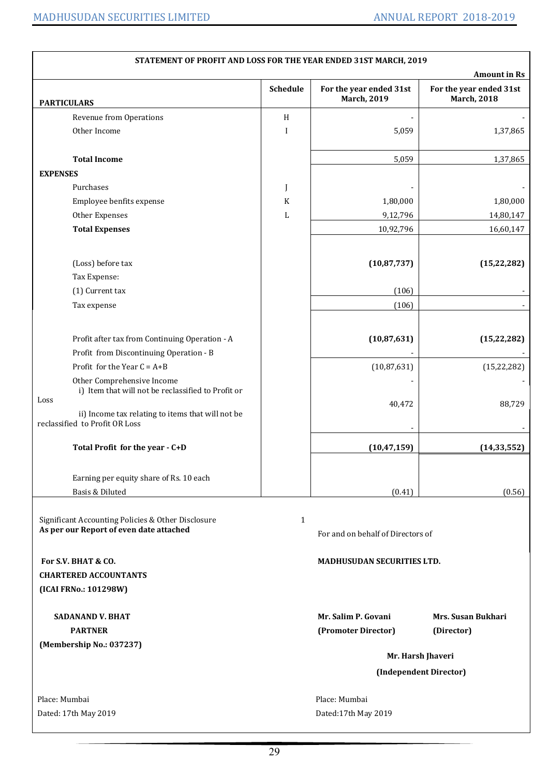| STATEMENT OF PROFIT AND LOSS FOR THE YEAR ENDED 31ST MARCH, 2019                              |                           |                                               |                                                |  |
|-----------------------------------------------------------------------------------------------|---------------------------|-----------------------------------------------|------------------------------------------------|--|
|                                                                                               |                           |                                               | <b>Amount in Rs</b>                            |  |
| <b>PARTICULARS</b>                                                                            | Schedule                  | For the year ended 31st<br><b>March, 2019</b> | For the year ended 31st<br><b>March</b> , 2018 |  |
| Revenue from Operations                                                                       | H                         |                                               |                                                |  |
| Other Income                                                                                  | I                         | 5,059                                         | 1,37,865                                       |  |
| <b>Total Income</b>                                                                           |                           | 5,059                                         | 1,37,865                                       |  |
| <b>EXPENSES</b>                                                                               |                           |                                               |                                                |  |
| Purchases                                                                                     | J                         |                                               |                                                |  |
| Employee benfits expense                                                                      | $\boldsymbol{\mathrm{K}}$ | 1,80,000                                      | 1,80,000                                       |  |
| Other Expenses                                                                                | L                         | 9,12,796                                      | 14,80,147                                      |  |
| <b>Total Expenses</b>                                                                         |                           | 10,92,796                                     | 16,60,147                                      |  |
| (Loss) before tax                                                                             |                           | (10, 87, 737)                                 | (15, 22, 282)                                  |  |
| Tax Expense:                                                                                  |                           |                                               |                                                |  |
| (1) Current tax                                                                               |                           | (106)                                         |                                                |  |
| Tax expense                                                                                   |                           | (106)                                         |                                                |  |
|                                                                                               |                           |                                               |                                                |  |
| Profit after tax from Continuing Operation - A                                                |                           | (10, 87, 631)                                 | (15, 22, 282)                                  |  |
| Profit from Discontinuing Operation - B                                                       |                           |                                               |                                                |  |
| Profit for the Year $C = A + B$                                                               |                           | (10, 87, 631)                                 | (15, 22, 282)                                  |  |
| Other Comprehensive Income                                                                    |                           |                                               |                                                |  |
| i) Item that will not be reclassified to Profit or                                            |                           |                                               |                                                |  |
| Loss                                                                                          |                           | 40,472                                        | 88,729                                         |  |
| ii) Income tax relating to items that will not be<br>reclassified to Profit OR Loss           |                           |                                               |                                                |  |
| Total Profit for the year - C+D                                                               |                           | (10, 47, 159)                                 | (14, 33, 552)                                  |  |
| Earning per equity share of Rs. 10 each                                                       |                           |                                               |                                                |  |
| Basis & Diluted                                                                               |                           | (0.41)                                        | (0.56)                                         |  |
|                                                                                               |                           |                                               |                                                |  |
| Significant Accounting Policies & Other Disclosure<br>As per our Report of even date attached | 1                         |                                               |                                                |  |
|                                                                                               |                           | For and on behalf of Directors of             |                                                |  |
| For S.V. BHAT & CO.                                                                           |                           | <b>MADHUSUDAN SECURITIES LTD.</b>             |                                                |  |
| <b>CHARTERED ACCOUNTANTS</b>                                                                  |                           |                                               |                                                |  |
| (ICAI FRNo.: 101298W)                                                                         |                           |                                               |                                                |  |
| <b>SADANAND V. BHAT</b>                                                                       |                           | Mr. Salim P. Govani                           | <b>Mrs. Susan Bukhari</b>                      |  |
| <b>PARTNER</b>                                                                                |                           | (Promoter Director)                           | (Director)                                     |  |
| (Membership No.: 037237)                                                                      |                           |                                               |                                                |  |
|                                                                                               |                           | Mr. Harsh Jhaveri                             |                                                |  |
|                                                                                               |                           |                                               | (Independent Director)                         |  |
| Place: Mumbai                                                                                 |                           | Place: Mumbai                                 |                                                |  |
| Dated: 17th May 2019                                                                          |                           | Dated:17th May 2019                           |                                                |  |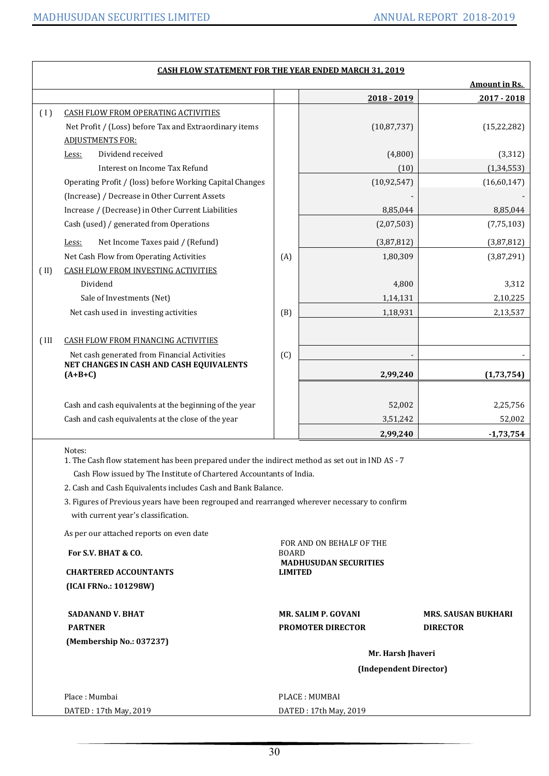Г

|     |                                                                                                                                 | <b>Amount in Rs.</b>                                                                                                                                                                                                                                                                                                                                                                                                                                                                                                                                   |
|-----|---------------------------------------------------------------------------------------------------------------------------------|--------------------------------------------------------------------------------------------------------------------------------------------------------------------------------------------------------------------------------------------------------------------------------------------------------------------------------------------------------------------------------------------------------------------------------------------------------------------------------------------------------------------------------------------------------|
|     | $2018 - 2019$                                                                                                                   | $2017 - 2018$                                                                                                                                                                                                                                                                                                                                                                                                                                                                                                                                          |
|     |                                                                                                                                 |                                                                                                                                                                                                                                                                                                                                                                                                                                                                                                                                                        |
|     | (10, 87, 737)                                                                                                                   | (15, 22, 282)                                                                                                                                                                                                                                                                                                                                                                                                                                                                                                                                          |
|     |                                                                                                                                 |                                                                                                                                                                                                                                                                                                                                                                                                                                                                                                                                                        |
|     | (4,800)                                                                                                                         | (3, 312)                                                                                                                                                                                                                                                                                                                                                                                                                                                                                                                                               |
|     | (10)                                                                                                                            | (1, 34, 553)                                                                                                                                                                                                                                                                                                                                                                                                                                                                                                                                           |
|     | (10, 92, 547)                                                                                                                   | (16,60,147)                                                                                                                                                                                                                                                                                                                                                                                                                                                                                                                                            |
|     |                                                                                                                                 |                                                                                                                                                                                                                                                                                                                                                                                                                                                                                                                                                        |
|     | 8,85,044                                                                                                                        | 8,85,044                                                                                                                                                                                                                                                                                                                                                                                                                                                                                                                                               |
|     | (2,07,503)                                                                                                                      | (7,75,103)                                                                                                                                                                                                                                                                                                                                                                                                                                                                                                                                             |
|     |                                                                                                                                 | (3,87,812)                                                                                                                                                                                                                                                                                                                                                                                                                                                                                                                                             |
|     | 1,80,309                                                                                                                        | (3,87,291)                                                                                                                                                                                                                                                                                                                                                                                                                                                                                                                                             |
|     |                                                                                                                                 |                                                                                                                                                                                                                                                                                                                                                                                                                                                                                                                                                        |
|     | 4,800                                                                                                                           | 3,312                                                                                                                                                                                                                                                                                                                                                                                                                                                                                                                                                  |
|     | 1,14,131                                                                                                                        | 2,10,225                                                                                                                                                                                                                                                                                                                                                                                                                                                                                                                                               |
| (B) | 1,18,931                                                                                                                        | 2,13,537                                                                                                                                                                                                                                                                                                                                                                                                                                                                                                                                               |
|     |                                                                                                                                 |                                                                                                                                                                                                                                                                                                                                                                                                                                                                                                                                                        |
|     |                                                                                                                                 |                                                                                                                                                                                                                                                                                                                                                                                                                                                                                                                                                        |
| (C) |                                                                                                                                 |                                                                                                                                                                                                                                                                                                                                                                                                                                                                                                                                                        |
|     |                                                                                                                                 | (1,73,754)                                                                                                                                                                                                                                                                                                                                                                                                                                                                                                                                             |
|     |                                                                                                                                 |                                                                                                                                                                                                                                                                                                                                                                                                                                                                                                                                                        |
|     |                                                                                                                                 |                                                                                                                                                                                                                                                                                                                                                                                                                                                                                                                                                        |
|     |                                                                                                                                 | 2,25,756                                                                                                                                                                                                                                                                                                                                                                                                                                                                                                                                               |
|     |                                                                                                                                 | 52,002                                                                                                                                                                                                                                                                                                                                                                                                                                                                                                                                                 |
|     |                                                                                                                                 | $-1,73,754$                                                                                                                                                                                                                                                                                                                                                                                                                                                                                                                                            |
|     |                                                                                                                                 |                                                                                                                                                                                                                                                                                                                                                                                                                                                                                                                                                        |
|     |                                                                                                                                 |                                                                                                                                                                                                                                                                                                                                                                                                                                                                                                                                                        |
|     |                                                                                                                                 |                                                                                                                                                                                                                                                                                                                                                                                                                                                                                                                                                        |
|     |                                                                                                                                 |                                                                                                                                                                                                                                                                                                                                                                                                                                                                                                                                                        |
|     |                                                                                                                                 |                                                                                                                                                                                                                                                                                                                                                                                                                                                                                                                                                        |
|     |                                                                                                                                 |                                                                                                                                                                                                                                                                                                                                                                                                                                                                                                                                                        |
|     |                                                                                                                                 |                                                                                                                                                                                                                                                                                                                                                                                                                                                                                                                                                        |
|     |                                                                                                                                 |                                                                                                                                                                                                                                                                                                                                                                                                                                                                                                                                                        |
|     |                                                                                                                                 |                                                                                                                                                                                                                                                                                                                                                                                                                                                                                                                                                        |
|     |                                                                                                                                 |                                                                                                                                                                                                                                                                                                                                                                                                                                                                                                                                                        |
|     |                                                                                                                                 |                                                                                                                                                                                                                                                                                                                                                                                                                                                                                                                                                        |
|     |                                                                                                                                 | <b>MRS. SAUSAN BUKHARI</b>                                                                                                                                                                                                                                                                                                                                                                                                                                                                                                                             |
|     |                                                                                                                                 | <b>DIRECTOR</b>                                                                                                                                                                                                                                                                                                                                                                                                                                                                                                                                        |
|     |                                                                                                                                 |                                                                                                                                                                                                                                                                                                                                                                                                                                                                                                                                                        |
|     |                                                                                                                                 |                                                                                                                                                                                                                                                                                                                                                                                                                                                                                                                                                        |
|     |                                                                                                                                 |                                                                                                                                                                                                                                                                                                                                                                                                                                                                                                                                                        |
|     |                                                                                                                                 |                                                                                                                                                                                                                                                                                                                                                                                                                                                                                                                                                        |
|     | Operating Profit / (loss) before Working Capital Changes<br>(A)<br>2. Cash and Cash Equivalents includes Cash and Bank Balance. | (3,87,812)<br>2,99,240<br>52,002<br>3,51,242<br>2,99,240<br>1. The Cash flow statement has been prepared under the indirect method as set out in IND AS - 7<br>Cash Flow issued by The Institute of Chartered Accountants of India.<br>3. Figures of Previous years have been regrouped and rearranged wherever necessary to confirm<br>FOR AND ON BEHALF OF THE<br><b>BOARD</b><br><b>MADHUSUDAN SECURITIES</b><br><b>LIMITED</b><br><b>MR. SALIM P. GOVANI</b><br>PROMOTER DIRECTOR<br>Mr. Harsh Jhaveri<br>(Independent Director)<br>PLACE : MUMBAI |

DATED : 17th May, 2019 DATED : 17th May, 2019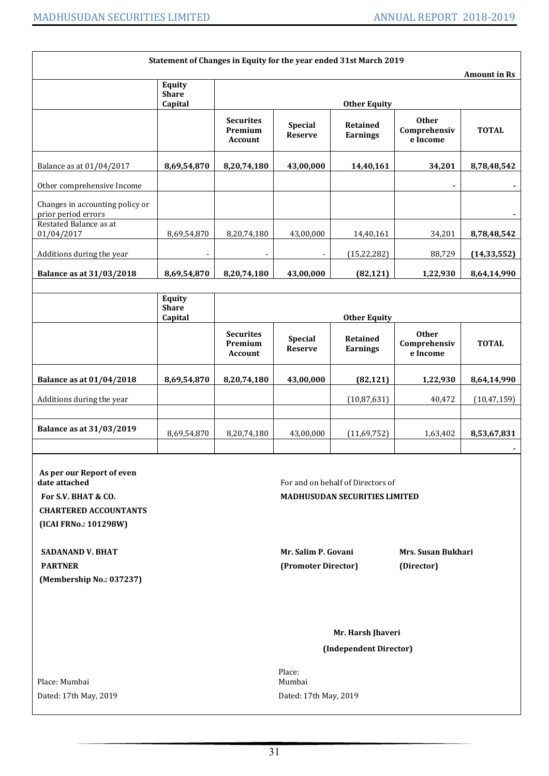| Statement of Changes in Equity for the year ended 31st March 2019                                                          |                                                                           |                                        |                                            | <b>Amount in Rs</b>                         |                                          |               |
|----------------------------------------------------------------------------------------------------------------------------|---------------------------------------------------------------------------|----------------------------------------|--------------------------------------------|---------------------------------------------|------------------------------------------|---------------|
|                                                                                                                            | <b>Equity</b><br><b>Share</b><br>Capital                                  |                                        |                                            | <b>Other Equity</b>                         |                                          |               |
|                                                                                                                            |                                                                           | <b>Securites</b><br>Premium<br>Account | <b>Special</b><br><b>Reserve</b>           | Retained<br><b>Earnings</b>                 | <b>Other</b><br>Comprehensiv<br>e Income | <b>TOTAL</b>  |
| Balance as at 01/04/2017                                                                                                   | 8,69,54,870                                                               | 8,20,74,180                            | 43,00,000                                  | 14,40,161                                   | 34,201                                   | 8,78,48,542   |
| Other comprehensive Income                                                                                                 |                                                                           |                                        |                                            |                                             | $\blacksquare$                           |               |
| Changes in accounting policy or<br>prior period errors<br>Restated Balance as at                                           |                                                                           |                                        |                                            |                                             |                                          |               |
| 01/04/2017                                                                                                                 | 8,69,54,870                                                               | 8,20,74,180                            | 43,00,000                                  | 14,40,161                                   | 34,201                                   | 8,78,48,542   |
| Additions during the year                                                                                                  |                                                                           |                                        |                                            | (15, 22, 282)                               | 88,729                                   | (14, 33, 552) |
| <b>Balance as at 31/03/2018</b>                                                                                            | 8,69,54,870                                                               | 8,20,74,180                            | 43,00,000                                  | (82, 121)                                   | 1,22,930                                 | 8,64,14,990   |
|                                                                                                                            | <b>Equity</b><br><b>Share</b><br>Capital                                  |                                        |                                            | <b>Other Equity</b>                         |                                          |               |
|                                                                                                                            |                                                                           | <b>Securites</b><br>Premium<br>Account | <b>Special</b><br><b>Reserve</b>           | Retained<br><b>Earnings</b>                 | <b>Other</b><br>Comprehensiv<br>e Income | <b>TOTAL</b>  |
| <b>Balance as at 01/04/2018</b>                                                                                            | 8,69,54,870                                                               | 8,20,74,180                            | 43,00,000                                  | (82, 121)                                   | 1,22,930                                 | 8,64,14,990   |
| Additions during the year                                                                                                  |                                                                           |                                        |                                            | (10, 87, 631)                               | 40,472                                   | (10, 47, 159) |
| <b>Balance as at 31/03/2019</b>                                                                                            | 8,69,54,870                                                               | 8,20,74,180                            | 43,00,000                                  | (11,69,752)                                 | 1,63,402                                 | 8,53,67,831   |
| As per our Report of even<br>date attached<br>For S.V. BHAT & CO.<br><b>CHARTERED ACCOUNTANTS</b><br>(ICAI FRNo.: 101298W) | For and on behalf of Directors of<br><b>MADHUSUDAN SECURITIES LIMITED</b> |                                        |                                            |                                             |                                          |               |
| <b>SADANAND V. BHAT</b><br><b>PARTNER</b><br>(Membership No.: 037237)                                                      |                                                                           |                                        | Mr. Salim P. Govani<br>(Promoter Director) |                                             | <b>Mrs. Susan Bukhari</b><br>(Director)  |               |
|                                                                                                                            |                                                                           |                                        |                                            | Mr. Harsh Jhaveri<br>(Independent Director) |                                          |               |
| Place: Mumbai<br>Dated: 17th May, 2019                                                                                     |                                                                           |                                        | Place:<br>Mumbai<br>Dated: 17th May, 2019  |                                             |                                          |               |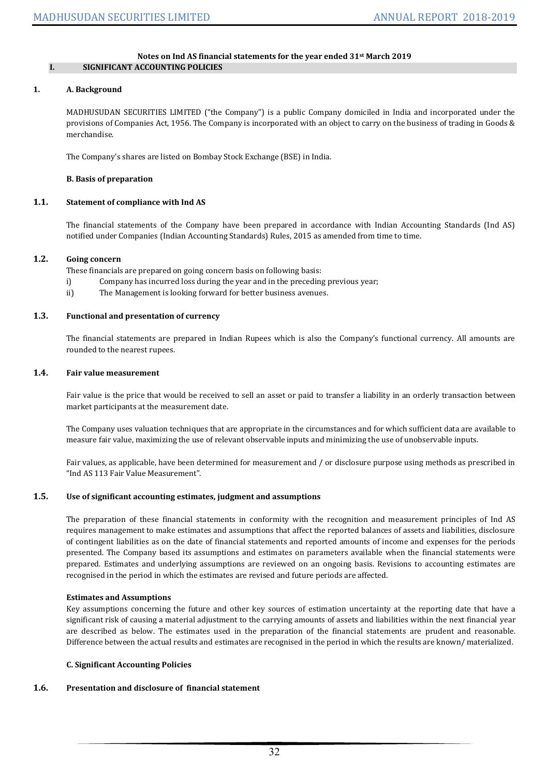#### **Notes on Ind AS financial statements for the year ended 31st March 2019 I. SIGNIFICANT ACCOUNTING POLICIES**

## **1. A. Background**

٦

MADHUSUDAN SECURITIES LIMITED ("the Company") is a public Company domiciled in India and incorporated under the provisions of Companies Act, 1956. The Company is incorporated with an object to carry on the business of trading in Goods & merchandise.

The Company's shares are listed on Bombay Stock Exchange (BSE) in India.

## **B. Basis of preparation**

## **1.1. Statement of compliance with Ind AS**

The financial statements of the Company have been prepared in accordance with Indian Accounting Standards (Ind AS) notified under Companies (Indian Accounting Standards) Rules, 2015 as amended from time to time.

## **1.2. Going concern**

These financials are prepared on going concern basis on following basis:

- i) Company has incurred loss during the year and in the preceding previous year;
- ii) The Management is looking forward for better business avenues.

## **1.3. Functional and presentation of currency**

The financial statements are prepared in Indian Rupees which is also the Company's functional currency. All amounts are rounded to the nearest rupees.

### **1.4. Fair value measurement**

Fair value is the price that would be received to sell an asset or paid to transfer a liability in an orderly transaction between market participants at the measurement date.

The Company uses valuation techniques that are appropriate in the circumstances and for which sufficient data are available to measure fair value, maximizing the use of relevant observable inputs and minimizing the use of unobservable inputs.

Fair values, as applicable, have been determined for measurement and / or disclosure purpose using methods as prescribed in "Ind AS 113 Fair Value Measurement".

### **1.5. Use of significant accounting estimates, judgment and assumptions**

The preparation of these financial statements in conformity with the recognition and measurement principles of Ind AS requires management to make estimates and assumptions that affect the reported balances of assets and liabilities, disclosure of contingent liabilities as on the date of financial statements and reported amounts of income and expenses for the periods presented. The Company based its assumptions and estimates on parameters available when the financial statements were prepared. Estimates and underlying assumptions are reviewed on an ongoing basis. Revisions to accounting estimates are recognised in the period in which the estimates are revised and future periods are affected.

### **Estimates and Assumptions**

Key assumptions concerning the future and other key sources of estimation uncertainty at the reporting date that have a significant risk of causing a material adjustment to the carrying amounts of assets and liabilities within the next financial year are described as below. The estimates used in the preparation of the financial statements are prudent and reasonable. Difference between the actual results and estimates are recognised in the period in which the results are known/ materialized.

### **C. Significant Accounting Policies**

## **1.6. Presentation and disclosure of financial statement**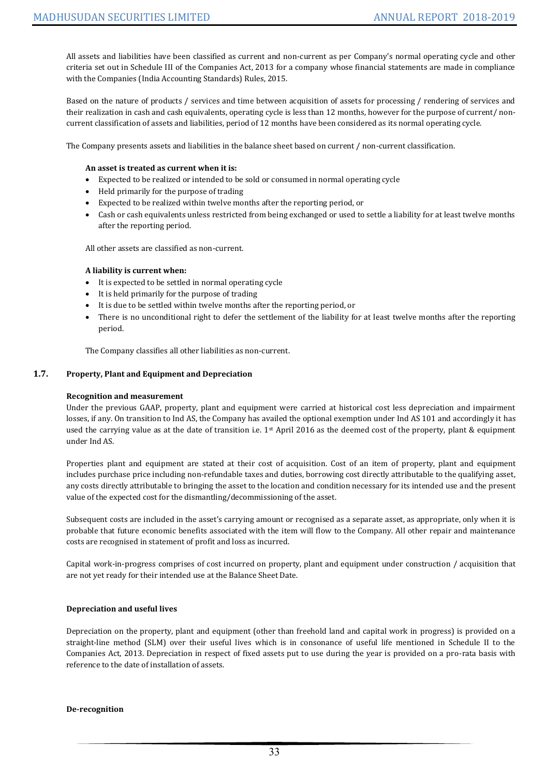All assets and liabilities have been classified as current and non-current as per Company's normal operating cycle and other criteria set out in Schedule III of the Companies Act, 2013 for a company whose financial statements are made in compliance with the Companies (India Accounting Standards) Rules, 2015.

Based on the nature of products / services and time between acquisition of assets for processing / rendering of services and their realization in cash and cash equivalents, operating cycle is less than 12 months, however for the purpose of current/ noncurrent classification of assets and liabilities, period of 12 months have been considered as its normal operating cycle.

The Company presents assets and liabilities in the balance sheet based on current / non-current classification.

#### **An asset is treated as current when it is:**

- Expected to be realized or intended to be sold or consumed in normal operating cycle
- Held primarily for the purpose of trading
- Expected to be realized within twelve months after the reporting period, or
- Cash or cash equivalents unless restricted from being exchanged or used to settle a liability for at least twelve months after the reporting period.

All other assets are classified as non-current.

#### **A liability is current when:**

- It is expected to be settled in normal operating cycle
- It is held primarily for the purpose of trading
- It is due to be settled within twelve months after the reporting period, or
- There is no unconditional right to defer the settlement of the liability for at least twelve months after the reporting period.

The Company classifies all other liabilities as non-current.

## **1.7. Property, Plant and Equipment and Depreciation**

#### **Recognition and measurement**

Under the previous GAAP, property, plant and equipment were carried at historical cost less depreciation and impairment losses, if any. On transition to Ind AS, the Company has availed the optional exemption under Ind AS 101 and accordingly it has used the carrying value as at the date of transition i.e.  $1^{st}$  April 2016 as the deemed cost of the property, plant & equipment under Ind AS.

Properties plant and equipment are stated at their cost of acquisition. Cost of an item of property, plant and equipment includes purchase price including non-refundable taxes and duties, borrowing cost directly attributable to the qualifying asset, any costs directly attributable to bringing the asset to the location and condition necessary for its intended use and the present value of the expected cost for the dismantling/decommissioning of the asset.

Subsequent costs are included in the asset's carrying amount or recognised as a separate asset, as appropriate, only when it is probable that future economic benefits associated with the item will flow to the Company. All other repair and maintenance costs are recognised in statement of profit and loss as incurred.

Capital work-in-progress comprises of cost incurred on property, plant and equipment under construction / acquisition that are not yet ready for their intended use at the Balance Sheet Date.

#### **Depreciation and useful lives**

Depreciation on the property, plant and equipment (other than freehold land and capital work in progress) is provided on a straight-line method (SLM) over their useful lives which is in consonance of useful life mentioned in Schedule II to the Companies Act, 2013. Depreciation in respect of fixed assets put to use during the year is provided on a pro-rata basis with reference to the date of installation of assets.

#### **De-recognition**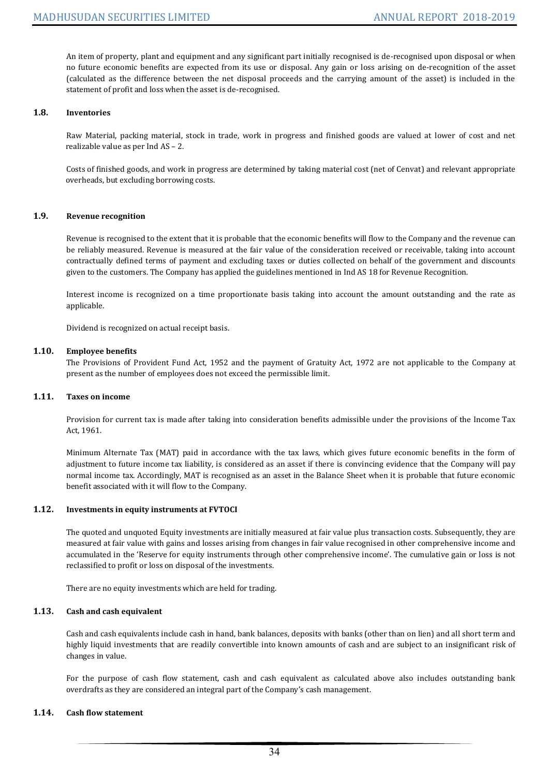An item of property, plant and equipment and any significant part initially recognised is de-recognised upon disposal or when no future economic benefits are expected from its use or disposal. Any gain or loss arising on de-recognition of the asset (calculated as the difference between the net disposal proceeds and the carrying amount of the asset) is included in the statement of profit and loss when the asset is de-recognised.

#### **1.8. Inventories**

٦

Raw Material, packing material, stock in trade, work in progress and finished goods are valued at lower of cost and net realizable value as per Ind AS – 2.

Costs of finished goods, and work in progress are determined by taking material cost (net of Cenvat) and relevant appropriate overheads, but excluding borrowing costs.

#### **1.9. Revenue recognition**

Revenue is recognised to the extent that it is probable that the economic benefits will flow to the Company and the revenue can be reliably measured. Revenue is measured at the fair value of the consideration received or receivable, taking into account contractually defined terms of payment and excluding taxes or duties collected on behalf of the government and discounts given to the customers. The Company has applied the guidelines mentioned in Ind AS 18 for Revenue Recognition.

Interest income is recognized on a time proportionate basis taking into account the amount outstanding and the rate as applicable.

Dividend is recognized on actual receipt basis.

#### **1.10. Employee benefits**

The Provisions of Provident Fund Act, 1952 and the payment of Gratuity Act, 1972 are not applicable to the Company at present as the number of employees does not exceed the permissible limit.

#### **1.11. Taxes on income**

Provision for current tax is made after taking into consideration benefits admissible under the provisions of the Income Tax Act, 1961.

Minimum Alternate Tax (MAT) paid in accordance with the tax laws, which gives future economic benefits in the form of adjustment to future income tax liability, is considered as an asset if there is convincing evidence that the Company will pay normal income tax. Accordingly, MAT is recognised as an asset in the Balance Sheet when it is probable that future economic benefit associated with it will flow to the Company.

#### **1.12. Investments in equity instruments at FVTOCI**

The quoted and unquoted Equity investments are initially measured at fair value plus transaction costs. Subsequently, they are measured at fair value with gains and losses arising from changes in fair value recognised in other comprehensive income and accumulated in the 'Reserve for equity instruments through other comprehensive income'. The cumulative gain or loss is not reclassified to profit or loss on disposal of the investments.

There are no equity investments which are held for trading.

#### **1.13. Cash and cash equivalent**

Cash and cash equivalents include cash in hand, bank balances, deposits with banks (other than on lien) and all short term and highly liquid investments that are readily convertible into known amounts of cash and are subject to an insignificant risk of changes in value.

For the purpose of cash flow statement, cash and cash equivalent as calculated above also includes outstanding bank overdrafts as they are considered an integral part of the Company's cash management.

#### **1.14. Cash flow statement**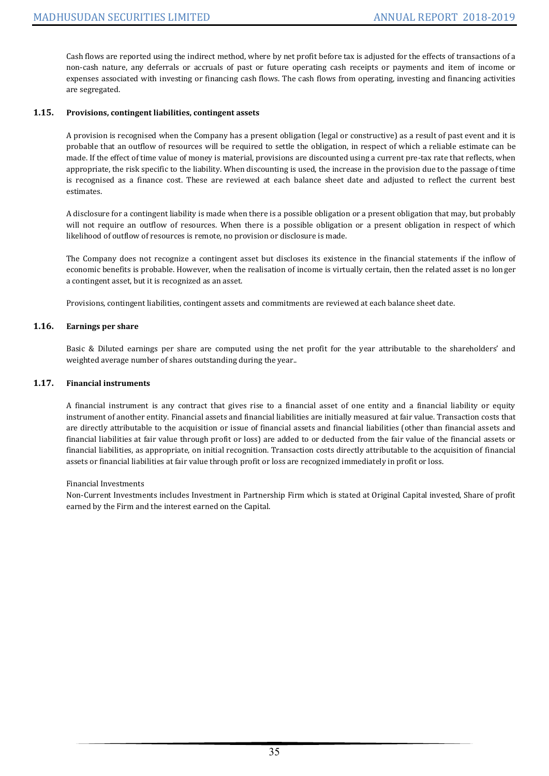Cash flows are reported using the indirect method, where by net profit before tax is adjusted for the effects of transactions of a non-cash nature, any deferrals or accruals of past or future operating cash receipts or payments and item of income or expenses associated with investing or financing cash flows. The cash flows from operating, investing and financing activities are segregated.

### **1.15. Provisions, contingent liabilities, contingent assets**

A provision is recognised when the Company has a present obligation (legal or constructive) as a result of past event and it is probable that an outflow of resources will be required to settle the obligation, in respect of which a reliable estimate can be made. If the effect of time value of money is material, provisions are discounted using a current pre-tax rate that reflects, when appropriate, the risk specific to the liability. When discounting is used, the increase in the provision due to the passage of time is recognised as a finance cost. These are reviewed at each balance sheet date and adjusted to reflect the current best estimates.

A disclosure for a contingent liability is made when there is a possible obligation or a present obligation that may, but probably will not require an outflow of resources. When there is a possible obligation or a present obligation in respect of which likelihood of outflow of resources is remote, no provision or disclosure is made.

The Company does not recognize a contingent asset but discloses its existence in the financial statements if the inflow of economic benefits is probable. However, when the realisation of income is virtually certain, then the related asset is no longer a contingent asset, but it is recognized as an asset.

Provisions, contingent liabilities, contingent assets and commitments are reviewed at each balance sheet date.

## **1.16. Earnings per share**

Basic & Diluted earnings per share are computed using the net profit for the year attributable to the shareholders' and weighted average number of shares outstanding during the year..

## **1.17. Financial instruments**

A financial instrument is any contract that gives rise to a financial asset of one entity and a financial liability or equity instrument of another entity. Financial assets and financial liabilities are initially measured at fair value. Transaction costs that are directly attributable to the acquisition or issue of financial assets and financial liabilities (other than financial assets and financial liabilities at fair value through profit or loss) are added to or deducted from the fair value of the financial assets or financial liabilities, as appropriate, on initial recognition. Transaction costs directly attributable to the acquisition of financial assets or financial liabilities at fair value through profit or loss are recognized immediately in profit or loss.

### Financial Investments

Non-Current Investments includes Investment in Partnership Firm which is stated at Original Capital invested, Share of profit earned by the Firm and the interest earned on the Capital.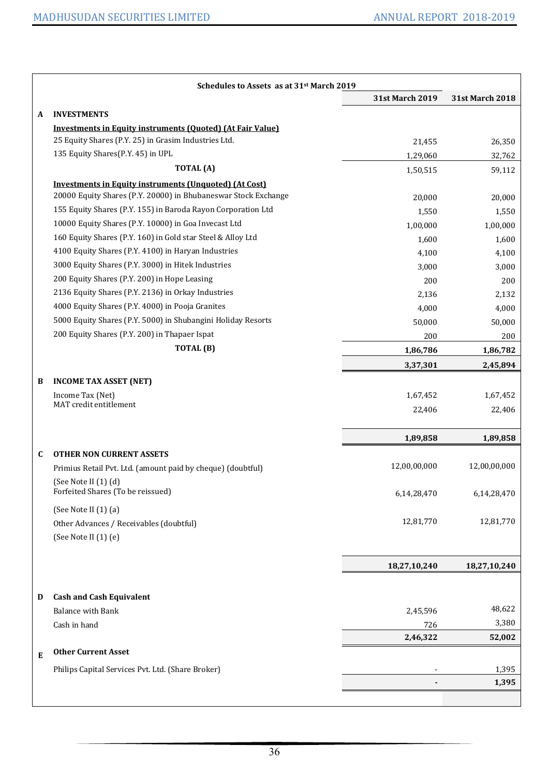|   | Schedules to Assets as at 31 <sup>st</sup> March 2019             |                        |                        |  |  |
|---|-------------------------------------------------------------------|------------------------|------------------------|--|--|
|   |                                                                   | <b>31st March 2019</b> | <b>31st March 2018</b> |  |  |
| A | <b>INVESTMENTS</b>                                                |                        |                        |  |  |
|   | <b>Investments in Equity instruments (Quoted) (At Fair Value)</b> |                        |                        |  |  |
|   | 25 Equity Shares (P.Y. 25) in Grasim Industries Ltd.              | 21,455                 | 26,350                 |  |  |
|   | 135 Equity Shares(P.Y. 45) in UPL                                 | 1,29,060               | 32,762                 |  |  |
|   | <b>TOTAL</b> (A)                                                  | 1,50,515               | 59,112                 |  |  |
|   | <b>Investments in Equity instruments (Unquoted) (At Cost)</b>     |                        |                        |  |  |
|   | 20000 Equity Shares (P.Y. 20000) in Bhubaneswar Stock Exchange    | 20,000                 | 20,000                 |  |  |
|   | 155 Equity Shares (P.Y. 155) in Baroda Rayon Corporation Ltd      | 1,550                  | 1,550                  |  |  |
|   | 10000 Equity Shares (P.Y. 10000) in Goa Invecast Ltd              | 1,00,000               | 1,00,000               |  |  |
|   | 160 Equity Shares (P.Y. 160) in Gold star Steel & Alloy Ltd       | 1,600                  | 1,600                  |  |  |
|   | 4100 Equity Shares (P.Y. 4100) in Haryan Industries               | 4,100                  | 4,100                  |  |  |
|   | 3000 Equity Shares (P.Y. 3000) in Hitek Industries                | 3,000                  | 3,000                  |  |  |
|   | 200 Equity Shares (P.Y. 200) in Hope Leasing                      | 200                    | 200                    |  |  |
|   | 2136 Equity Shares (P.Y. 2136) in Orkay Industries                | 2,136                  | 2,132                  |  |  |
|   | 4000 Equity Shares (P.Y. 4000) in Pooja Granites                  | 4,000                  | 4,000                  |  |  |
|   | 5000 Equity Shares (P.Y. 5000) in Shubangini Holiday Resorts      | 50,000                 | 50,000                 |  |  |
|   | 200 Equity Shares (P.Y. 200) in Thapaer Ispat                     | 200                    | 200                    |  |  |
|   | TOTAL (B)                                                         | 1,86,786               | 1,86,782               |  |  |
|   |                                                                   | 3,37,301               | 2,45,894               |  |  |
| В | <b>INCOME TAX ASSET (NET)</b>                                     |                        |                        |  |  |
|   | Income Tax (Net)                                                  | 1,67,452               | 1,67,452               |  |  |
|   | MAT credit entitlement                                            | 22,406                 | 22,406                 |  |  |
|   |                                                                   |                        |                        |  |  |
|   |                                                                   | 1,89,858               | 1,89,858               |  |  |
| C | <b>OTHER NON CURRENT ASSETS</b>                                   |                        |                        |  |  |
|   | Primius Retail Pvt. Ltd. (amount paid by cheque) (doubtful)       | 12,00,00,000           | 12,00,00,000           |  |  |
|   | (See Note II $(1)(d)$                                             |                        |                        |  |  |
|   | Forfeited Shares (To be reissued)                                 | 6,14,28,470            | 6,14,28,470            |  |  |
|   | (See Note II (1) (a)                                              |                        |                        |  |  |
|   | Other Advances / Receivables (doubtful)                           | 12,81,770              | 12,81,770              |  |  |
|   | (See Note II (1) (e)                                              |                        |                        |  |  |
|   |                                                                   | 18,27,10,240           | 18,27,10,240           |  |  |
|   |                                                                   |                        |                        |  |  |
| D | <b>Cash and Cash Equivalent</b>                                   |                        |                        |  |  |
|   | <b>Balance with Bank</b>                                          | 2,45,596               | 48,622                 |  |  |
|   | Cash in hand                                                      | 726                    | 3,380                  |  |  |
|   |                                                                   | 2,46,322               | 52,002                 |  |  |
| E | <b>Other Current Asset</b>                                        |                        |                        |  |  |
|   | Philips Capital Services Pvt. Ltd. (Share Broker)                 |                        | 1,395                  |  |  |
|   |                                                                   |                        | 1,395                  |  |  |
|   |                                                                   |                        |                        |  |  |
|   |                                                                   |                        |                        |  |  |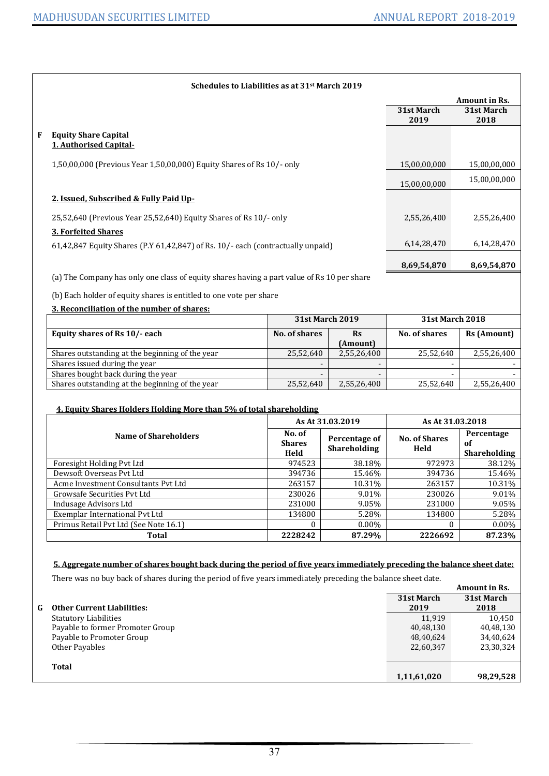|   | Schedules to Liabilities as at 31 <sup>st</sup> March 2019                                                                                                                                                                               |                       |                         |                      |                    |
|---|------------------------------------------------------------------------------------------------------------------------------------------------------------------------------------------------------------------------------------------|-----------------------|-------------------------|----------------------|--------------------|
|   |                                                                                                                                                                                                                                          |                       | Amount in Rs.           |                      |                    |
|   |                                                                                                                                                                                                                                          |                       |                         | 31st March<br>2019   | 31st March<br>2018 |
| F | <b>Equity Share Capital</b><br>1. Authorised Capital-                                                                                                                                                                                    |                       |                         |                      |                    |
|   | 1,50,00,000 (Previous Year 1,50,00,000) Equity Shares of Rs 10/- only                                                                                                                                                                    |                       |                         | 15,00,00,000         | 15,00,00,000       |
|   |                                                                                                                                                                                                                                          |                       |                         | 15,00,00,000         | 15,00,00,000       |
|   | 2. Issued, Subscribed & Fully Paid Up-                                                                                                                                                                                                   |                       |                         |                      |                    |
|   | 25,52,640 (Previous Year 25,52,640) Equity Shares of Rs 10/- only                                                                                                                                                                        |                       |                         | 2,55,26,400          | 2,55,26,400        |
|   | 3. Forfeited Shares                                                                                                                                                                                                                      |                       |                         |                      |                    |
|   | 61,42,847 Equity Shares (P.Y 61,42,847) of Rs. 10/- each (contractually unpaid)                                                                                                                                                          |                       |                         | 6,14,28,470          | 6,14,28,470        |
|   |                                                                                                                                                                                                                                          |                       |                         | 8,69,54,870          | 8,69,54,870        |
|   | (a) The Company has only one class of equity shares having a part value of Rs 10 per share                                                                                                                                               |                       |                         |                      |                    |
|   | (b) Each holder of equity shares is entitled to one vote per share                                                                                                                                                                       |                       |                         |                      |                    |
|   | 3. Reconciliation of the number of shares:                                                                                                                                                                                               |                       | <b>31st March 2019</b>  | 31st March 2018      |                    |
|   | Equity shares of Rs 10/- each                                                                                                                                                                                                            | No. of shares         | $\mathbf{Rs}$           | No. of shares        | Rs (Amount)        |
|   |                                                                                                                                                                                                                                          |                       | (Amount)<br>2,55,26,400 |                      |                    |
|   | Shares outstanding at the beginning of the year<br>Shares issued during the year                                                                                                                                                         | 25,52,640             |                         | 25,52,640            | 2,55,26,400        |
|   | Shares bought back during the year                                                                                                                                                                                                       |                       |                         |                      |                    |
|   | Shares outstanding at the beginning of the year                                                                                                                                                                                          | 25,52,640             | 2,55,26,400             | 25,52,640            | 2,55,26,400        |
|   | 4. Equity Shares Holders Holding More than 5% of total shareholding                                                                                                                                                                      |                       |                         |                      |                    |
|   |                                                                                                                                                                                                                                          |                       | As At 31.03.2019        | As At 31.03.2018     |                    |
|   | <b>Name of Shareholders</b>                                                                                                                                                                                                              | No. of                | Percentage of           | <b>No. of Shares</b> | Percentage         |
|   |                                                                                                                                                                                                                                          | <b>Shares</b><br>Held | Shareholding            | Held                 | of<br>Shareholding |
|   | Foresight Holding Pvt Ltd                                                                                                                                                                                                                | 974523                | 38.18%                  | 972973               | 38.12%             |
|   | Dewsoft Overseas Pvt Ltd                                                                                                                                                                                                                 | 394736                | 15.46%                  | 394736               | 15.46%             |
|   | Acme Investment Consultants Pvt Ltd                                                                                                                                                                                                      | 263157                | 10.31%                  | 263157               | 10.31%             |
|   | Growsafe Securities Pvt Ltd                                                                                                                                                                                                              | 230026                | 9.01%                   | 230026               | 9.01%              |
|   | <b>Indusage Advisors Ltd</b>                                                                                                                                                                                                             | 231000                | 9.05%                   | 231000               | 9.05%              |
|   | Exemplar International Pvt Ltd                                                                                                                                                                                                           | 134800                | 5.28%                   | 134800               | 5.28%              |
|   | Primus Retail Pvt Ltd (See Note 16.1)                                                                                                                                                                                                    | $\Omega$              | $0.00\%$                | $\theta$             | 0.00%              |
|   | <b>Total</b>                                                                                                                                                                                                                             | 2228242               | 87.29%                  | 2226692              | 87.23%             |
|   | 5. Aggregate number of shares bought back during the period of five years immediately preceding the balance sheet date:<br>There was no buy back of shares during the period of five years immediately preceding the balance sheet date. |                       |                         |                      | Amount in Rs.      |
| G | <b>Other Current Liabilities:</b>                                                                                                                                                                                                        |                       |                         | 31st March<br>2019   | 31st March<br>2018 |
|   | <b>Statutory Liabilities</b>                                                                                                                                                                                                             |                       |                         | 11,919               | 10,450             |
|   | Payable to former Promoter Group                                                                                                                                                                                                         |                       |                         | 40,48,130            | 40,48,130          |
|   | Payable to Promoter Group                                                                                                                                                                                                                |                       |                         | 48,40,624            | 34,40,624          |
|   | Other Payables                                                                                                                                                                                                                           |                       |                         | 22,60,347            | 23,30,324          |
|   | <b>Total</b>                                                                                                                                                                                                                             |                       |                         | 1,11,61,020          | 98,29,528          |
|   |                                                                                                                                                                                                                                          |                       |                         |                      |                    |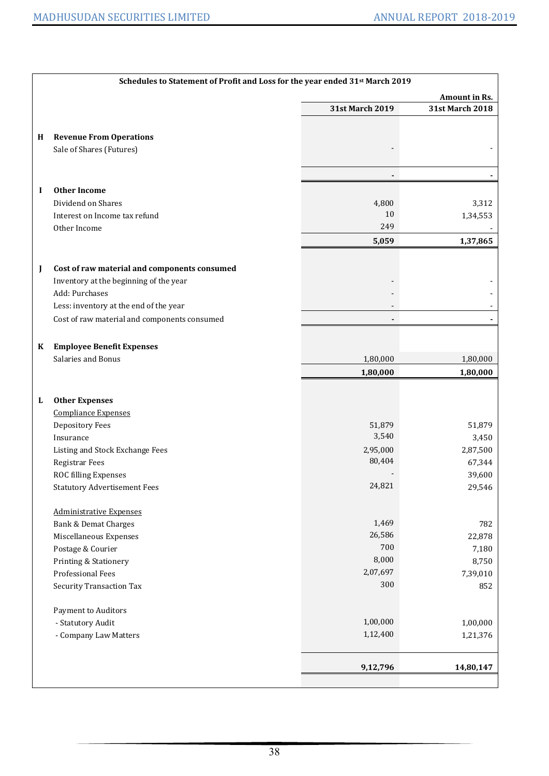|          | Schedules to Statement of Profit and Loss for the year ended 31st March 2019 |                    |                        |  |
|----------|------------------------------------------------------------------------------|--------------------|------------------------|--|
|          |                                                                              |                    | Amount in Rs.          |  |
|          |                                                                              | 31st March 2019    | <b>31st March 2018</b> |  |
|          |                                                                              |                    |                        |  |
| H        | <b>Revenue From Operations</b>                                               |                    |                        |  |
|          | Sale of Shares (Futures)                                                     |                    |                        |  |
|          |                                                                              |                    |                        |  |
|          |                                                                              |                    |                        |  |
| $\bf{I}$ | <b>Other Income</b>                                                          |                    |                        |  |
|          | Dividend on Shares                                                           | 4,800              | 3,312                  |  |
|          | Interest on Income tax refund                                                | 10                 | 1,34,553               |  |
|          | Other Income                                                                 | 249                |                        |  |
|          |                                                                              | 5,059              | 1,37,865               |  |
| J        | Cost of raw material and components consumed                                 |                    |                        |  |
|          | Inventory at the beginning of the year                                       |                    |                        |  |
|          | Add: Purchases                                                               |                    |                        |  |
|          | Less: inventory at the end of the year                                       |                    |                        |  |
|          | Cost of raw material and components consumed                                 |                    |                        |  |
|          |                                                                              |                    |                        |  |
| K        | <b>Employee Benefit Expenses</b>                                             |                    |                        |  |
|          | Salaries and Bonus                                                           | 1,80,000           | 1,80,000               |  |
|          |                                                                              | 1,80,000           | 1,80,000               |  |
|          |                                                                              |                    |                        |  |
| L        | <b>Other Expenses</b>                                                        |                    |                        |  |
|          | <b>Compliance Expenses</b>                                                   |                    |                        |  |
|          | Depository Fees                                                              | 51,879<br>3,540    | 51,879                 |  |
|          | Insurance                                                                    |                    | 3,450                  |  |
|          | Listing and Stock Exchange Fees                                              | 2,95,000<br>80,404 | 2,87,500<br>67,344     |  |
|          | Registrar Fees<br>ROC filling Expenses                                       |                    | 39,600                 |  |
|          |                                                                              | 24,821             | 29,546                 |  |
|          | <b>Statutory Advertisement Fees</b>                                          |                    |                        |  |
|          | <b>Administrative Expenses</b>                                               |                    |                        |  |
|          | <b>Bank &amp; Demat Charges</b>                                              | 1,469              | 782                    |  |
|          | Miscellaneous Expenses                                                       | 26,586             | 22,878                 |  |
|          | Postage & Courier                                                            | 700                | 7,180                  |  |
|          | Printing & Stationery                                                        | 8,000              | 8,750                  |  |
|          | Professional Fees                                                            | 2,07,697           | 7,39,010               |  |
|          | <b>Security Transaction Tax</b>                                              | 300                | 852                    |  |
|          | Payment to Auditors                                                          |                    |                        |  |
|          | - Statutory Audit                                                            | 1,00,000           | 1,00,000               |  |
|          | - Company Law Matters                                                        | 1,12,400           | 1,21,376               |  |
|          |                                                                              |                    |                        |  |
|          |                                                                              | 9,12,796           | 14,80,147              |  |
|          |                                                                              |                    |                        |  |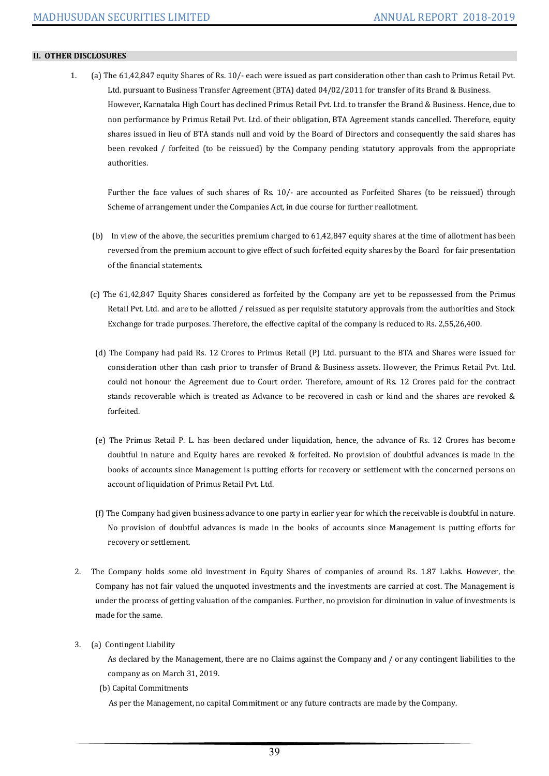## **II. OTHER DISCLOSURES**

٦

1. (a) The 61,42,847 equity Shares of Rs. 10/- each were issued as part consideration other than cash to Primus Retail Pvt. Ltd. pursuant to Business Transfer Agreement (BTA) dated 04/02/2011 for transfer of its Brand & Business. However, Karnataka High Court has declined Primus Retail Pvt. Ltd. to transfer the Brand & Business. Hence, due to non performance by Primus Retail Pvt. Ltd. of their obligation, BTA Agreement stands cancelled. Therefore, equity shares issued in lieu of BTA stands null and void by the Board of Directors and consequently the said shares has been revoked / forfeited (to be reissued) by the Company pending statutory approvals from the appropriate authorities.

Further the face values of such shares of Rs. 10/- are accounted as Forfeited Shares (to be reissued) through Scheme of arrangement under the Companies Act, in due course for further reallotment.

- (b) In view of the above, the securities premium charged to 61,42,847 equity shares at the time of allotment has been reversed from the premium account to give effect of such forfeited equity shares by the Board for fair presentation of the financial statements.
- (c) The 61,42,847 Equity Shares considered as forfeited by the Company are yet to be repossessed from the Primus Retail Pvt. Ltd. and are to be allotted / reissued as per requisite statutory approvals from the authorities and Stock Exchange for trade purposes. Therefore, the effective capital of the company is reduced to Rs. 2,55,26,400.
- (d) The Company had paid Rs. 12 Crores to Primus Retail (P) Ltd. pursuant to the BTA and Shares were issued for consideration other than cash prior to transfer of Brand & Business assets. However, the Primus Retail Pvt. Ltd. could not honour the Agreement due to Court order. Therefore, amount of Rs. 12 Crores paid for the contract stands recoverable which is treated as Advance to be recovered in cash or kind and the shares are revoked & forfeited.
- (e) The Primus Retail P. L. has been declared under liquidation, hence, the advance of Rs. 12 Crores has become doubtful in nature and Equity hares are revoked & forfeited. No provision of doubtful advances is made in the books of accounts since Management is putting efforts for recovery or settlement with the concerned persons on account of liquidation of Primus Retail Pvt. Ltd.
- (f) The Company had given business advance to one party in earlier year for which the receivable is doubtful in nature. No provision of doubtful advances is made in the books of accounts since Management is putting efforts for recovery or settlement.
- 2. The Company holds some old investment in Equity Shares of companies of around Rs. 1.87 Lakhs. However, the Company has not fair valued the unquoted investments and the investments are carried at cost. The Management is under the process of getting valuation of the companies. Further, no provision for diminution in value of investments is made for the same.
- 3. (a) Contingent Liability

As declared by the Management, there are no Claims against the Company and / or any contingent liabilities to the company as on March 31, 2019.

(b) Capital Commitments

As per the Management, no capital Commitment or any future contracts are made by the Company.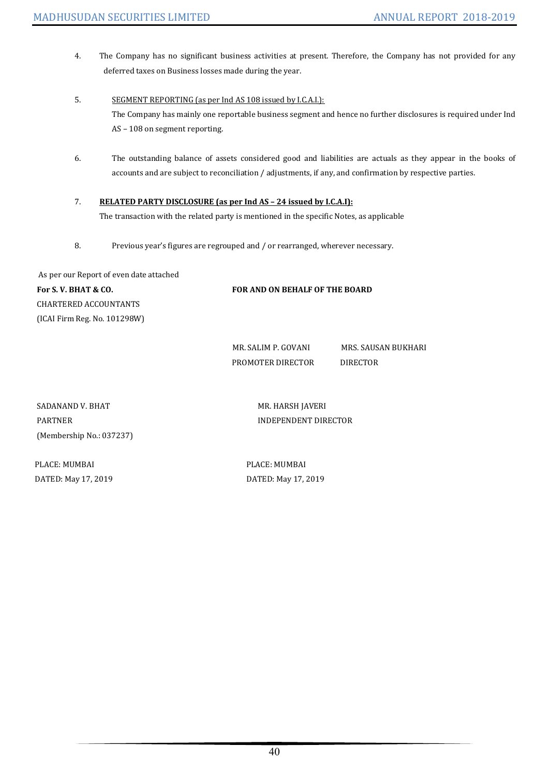- 4. The Company has no significant business activities at present. Therefore, the Company has not provided for any deferred taxes on Business losses made during the year.
- 5. SEGMENT REPORTING (as per Ind AS 108 issued by I.C.A.I.): The Company has mainly one reportable business segment and hence no further disclosures is required under Ind AS – 108 on segment reporting.
- 6. The outstanding balance of assets considered good and liabilities are actuals as they appear in the books of accounts and are subject to reconciliation / adjustments, if any, and confirmation by respective parties.
- 7. **RELATED PARTY DISCLOSURE (as per Ind AS 24 issued by I.C.A.I):** The transaction with the related party is mentioned in the specific Notes, as applicable
- 8. Previous year's figures are regrouped and / or rearranged, wherever necessary.

 As per our Report of even date attached  **For S. V. BHAT & CO. FOR AND ON BEHALF OF THE BOARD**  CHARTERED ACCOUNTANTS (ICAI Firm Reg. No. 101298W)

MR. SALIM P. GOVANI MRS. SAUSAN BUKHARI PROMOTER DIRECTOR DIRECTOR

SADANAND V. BHAT MR. HARSH JAVERI PARTNER INDEPENDENT DIRECTOR (Membership No.: 037237)

PLACE: MUMBAI PLACE: MUMBAI DATED: May 17, 2019 DATED: May 17, 2019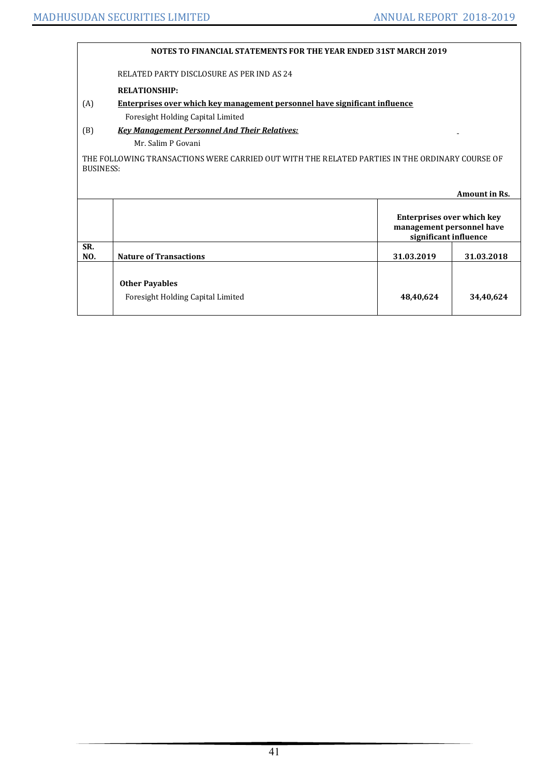|                  | NOTES TO FINANCIAL STATEMENTS FOR THE YEAR ENDED 31ST MARCH 2019                               |                                                            |                           |
|------------------|------------------------------------------------------------------------------------------------|------------------------------------------------------------|---------------------------|
|                  | RELATED PARTY DISCLOSURE AS PER IND AS 24                                                      |                                                            |                           |
|                  | <b>RELATIONSHIP:</b>                                                                           |                                                            |                           |
| (A)              | <u>Enterprises over which key management personnel have significant influence</u>              |                                                            |                           |
|                  | Foresight Holding Capital Limited                                                              |                                                            |                           |
| (B)              | <b>Key Management Personnel And Their Relatives:</b>                                           |                                                            |                           |
|                  | Mr. Salim P Govani                                                                             |                                                            |                           |
| <b>BUSINESS:</b> | THE FOLLOWING TRANSACTIONS WERE CARRIED OUT WITH THE RELATED PARTIES IN THE ORDINARY COURSE OF |                                                            | <b>Amount in Rs.</b>      |
|                  |                                                                                                | <b>Enterprises over which key</b><br>significant influence | management personnel have |
| SR.<br>NO.       | <b>Nature of Transactions</b>                                                                  | 31.03.2019                                                 | 31.03.2018                |
|                  | <b>Other Payables</b>                                                                          |                                                            |                           |
|                  | Foresight Holding Capital Limited                                                              | 48,40,624                                                  | 34,40,624                 |